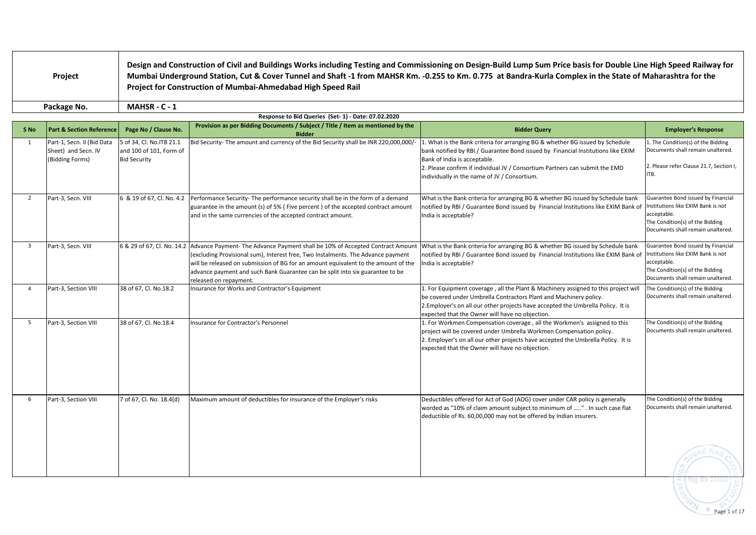| <b>Project</b> | Design and Construction of Civil and Buildings Works including Testing and Commissioning on Design-Build Lump Sum Price basis for Double Line High Speed Railway for<br>Mumbai Underground Station, Cut & Cover Tunnel and Shaft -1 from MAHSR Km. -0.255 to Km. 0.775 at Bandra-Kurla Complex in the State of Maharashtra for the<br>Project for Construction of Mumbai-Ahmedabad High Speed Rail |
|----------------|----------------------------------------------------------------------------------------------------------------------------------------------------------------------------------------------------------------------------------------------------------------------------------------------------------------------------------------------------------------------------------------------------|
| Package No.    | <b>MAHSR - C - 1</b>                                                                                                                                                                                                                                                                                                                                                                               |

|                | Response to Bid Queries (Set-1) - Date: 07.02.2020                   |                                                                            |                                                                                                                                                                                                                                                                                                                                                                    |                                                                                                                                                                                                                                                                                                                                                                                                                                                                |                                                                                                                                                                 |  |  |  |  |  |  |
|----------------|----------------------------------------------------------------------|----------------------------------------------------------------------------|--------------------------------------------------------------------------------------------------------------------------------------------------------------------------------------------------------------------------------------------------------------------------------------------------------------------------------------------------------------------|----------------------------------------------------------------------------------------------------------------------------------------------------------------------------------------------------------------------------------------------------------------------------------------------------------------------------------------------------------------------------------------------------------------------------------------------------------------|-----------------------------------------------------------------------------------------------------------------------------------------------------------------|--|--|--|--|--|--|
| S No           | <b>Part &amp; Section Reference</b>                                  | Page No / Clause No.                                                       | Provision as per Bidding Documents / Subject / Title / Item as mentioned by the<br><b>Bidder</b>                                                                                                                                                                                                                                                                   | <b>Bidder Query</b>                                                                                                                                                                                                                                                                                                                                                                                                                                            | <b>Employer's Response</b>                                                                                                                                      |  |  |  |  |  |  |
| 1              | Part-1, Secn. II (Bid Data<br>Sheet) and Secn. IV<br>(Bidding Forms) | 5 of 34, Cl. No.ITB 21.1<br>and 100 of 101, Form of<br><b>Bid Security</b> | Bid Security- The amount and currency of the Bid Security shall be INR 220,000,000/-                                                                                                                                                                                                                                                                               | 1. The Condition(s) of the Bidding<br>1. What is the Bank criteria for arranging BG & whether BG issued by Schedule<br>Documents shall remain unaltered.<br>bank notified by RBI / Guarantee Bond issued by Financial Institutions like EXIM<br>Bank of India is acceptable.<br>2. Please refer Clause 21.7, Section I,<br>2. Please confirm if individual JV / Consortium Partners can submit the EMD<br>ITB.<br>individually in the name of JV / Consortium. |                                                                                                                                                                 |  |  |  |  |  |  |
| $\overline{2}$ | Part-3, Secn. VIII                                                   | 6 & 19 of 67, Cl. No. 4.2                                                  | Performance Security- The performance security shall be in the form of a demand<br>guarantee in the amount (s) of 5% (Five percent) of the accepted contract amount<br>and in the same currencies of the accepted contract amount.                                                                                                                                 | What is the Bank criteria for arranging BG & whether BG issued by Schedule bank<br>notified by RBI / Guarantee Bond issued by Financial Institutions like EXIM Bank of<br>India is acceptable?                                                                                                                                                                                                                                                                 | Guarantee Bond issued by Financial<br>Institutions like EXIM Bank is not<br>acceptable.<br>The Condition(s) of the Bidding<br>Documents shall remain unaltered. |  |  |  |  |  |  |
| $\overline{3}$ | Part-3, Secn. VIII                                                   | 6 & 29 of 67, Cl. No. 14.2                                                 | Advance Payment- The Advance Payment shall be 10% of Accepted Contract Amount<br>(excluding Provisional sum), Interest free, Two Instalments. The Advance payment<br>will be released on submission of BG for an amount equivalent to the amount of the<br>advance payment and such Bank Guarantee can be split into six guarantee to be<br>released on repayment. | What is the Bank criteria for arranging BG & whether BG issued by Schedule bank<br>notified by RBI / Guarantee Bond issued by Financial Institutions like EXIM Bank of<br>India is acceptable?                                                                                                                                                                                                                                                                 | Guarantee Bond issued by Financial<br>Institutions like EXIM Bank is not<br>acceptable.<br>The Condition(s) of the Bidding<br>Documents shall remain unaltered. |  |  |  |  |  |  |
| $\overline{4}$ | Part-3, Section VIII                                                 | 38 of 67, Cl. No.18.2                                                      | Insurance for Works and Contractor's Equipment                                                                                                                                                                                                                                                                                                                     | 1. For Equipment coverage, all the Plant & Machinery assigned to this project will<br>be covered under Umbrella Contractors Plant and Machinery policy.<br>2. Employer's on all our other projects have accepted the Umbrella Policy. It is<br>expected that the Owner will have no objection.                                                                                                                                                                 | The Condition(s) of the Bidding<br>Documents shall remain unaltered.                                                                                            |  |  |  |  |  |  |
| 5              | Part-3, Section VIII                                                 | 38 of 67, Cl. No.18.4                                                      | Insurance for Contractor's Personnel                                                                                                                                                                                                                                                                                                                               | 1. For Workmen Compensation coverage, all the Workmen's assigned to this<br>project will be covered under Umbrella Workmen Compensation policy.<br>2. Employer's on all our other projects have accepted the Umbrella Policy. It is<br>expected that the Owner will have no objection.                                                                                                                                                                         | The Condition(s) of the Bidding<br>Documents shall remain unaltered.                                                                                            |  |  |  |  |  |  |
| 6              | Part-3, Section VIII                                                 | 7 of 67, Cl. No. 18.4(d)                                                   | Maximum amount of deductibles for insurance of the Employer's risks                                                                                                                                                                                                                                                                                                | Deductibles offered for Act of God (AOG) cover under CAR policy is generally<br>worded as "10% of claim amount subject to minimum of " . In such case flat<br>deductible of Rs. 60,00,000 may not be offered by Indian insurers.                                                                                                                                                                                                                               | The Condition(s) of the Bidding<br>Documents shall remain unaltered.                                                                                            |  |  |  |  |  |  |
|                |                                                                      |                                                                            |                                                                                                                                                                                                                                                                                                                                                                    |                                                                                                                                                                                                                                                                                                                                                                                                                                                                |                                                                                                                                                                 |  |  |  |  |  |  |

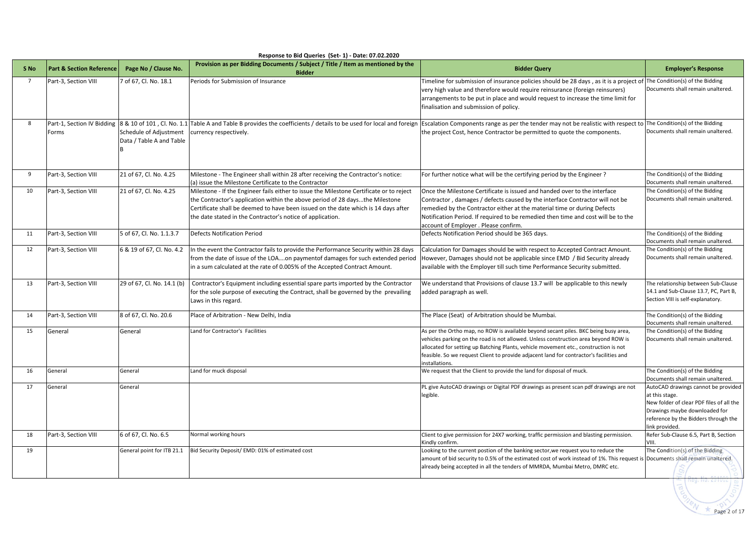|                | Response to Bid Queries (Set-1) - Date: 07.02.2020 |                                                    |                                                                                                                                                                                                                                                                                                                              |                                                                                                                                                                                                                                                                                                                                                                                 |                                                                                                                                                                                              |  |  |  |  |  |  |
|----------------|----------------------------------------------------|----------------------------------------------------|------------------------------------------------------------------------------------------------------------------------------------------------------------------------------------------------------------------------------------------------------------------------------------------------------------------------------|---------------------------------------------------------------------------------------------------------------------------------------------------------------------------------------------------------------------------------------------------------------------------------------------------------------------------------------------------------------------------------|----------------------------------------------------------------------------------------------------------------------------------------------------------------------------------------------|--|--|--|--|--|--|
| S No           | <b>Part &amp; Section Reference</b>                | Page No / Clause No.                               | Provision as per Bidding Documents / Subject / Title / Item as mentioned by the<br><b>Bidder</b>                                                                                                                                                                                                                             | <b>Bidder Query</b>                                                                                                                                                                                                                                                                                                                                                             | <b>Employer's Response</b>                                                                                                                                                                   |  |  |  |  |  |  |
| $\overline{7}$ | Part-3, Section VIII                               | 7 of 67, Cl. No. 18.1                              | Periods for Submission of Insurance                                                                                                                                                                                                                                                                                          | Timeline for submission of insurance policies should be 28 days, as it is a project of The Condition(s) of the Bidding<br>very high value and therefore would require reinsurance (foreign reinsurers)<br>arrangements to be put in place and would request to increase the time limit for<br>finalisation and submission of policy.                                            | Documents shall remain unaltered.                                                                                                                                                            |  |  |  |  |  |  |
| 8              | Forms                                              | Schedule of Adjustment<br>Data / Table A and Table | Part-1, Section IV Bidding 8 & 10 of 101, Cl. No. 1.1 Table A and Table B provides the coefficients / details to be used for local and foreign Escalation Components range as per the tender may not be realistic with respect<br>currency respectively.                                                                     | the project Cost, hence Contractor be permitted to quote the components.                                                                                                                                                                                                                                                                                                        | The Condition(s) of the Bidding<br>Documents shall remain unaltered.                                                                                                                         |  |  |  |  |  |  |
| 9              | Part-3, Section VIII                               | 21 of 67, Cl. No. 4.25                             | Milestone - The Engineer shall within 28 after receiving the Contractor's notice:<br>(a) issue the Milestone Certificate to the Contractor                                                                                                                                                                                   | For further notice what will be the certifying period by the Engineer?                                                                                                                                                                                                                                                                                                          | The Condition(s) of the Bidding<br>Documents shall remain unaltered.                                                                                                                         |  |  |  |  |  |  |
| 10             | Part-3, Section VIII                               | 21 of 67, Cl. No. 4.25                             | Milestone - If the Engineer fails either to issue the Milestone Certificate or to reject<br>the Contractor's application within the above period of 28 daysthe Milestone<br>Certificate shall be deemed to have been issued on the date which is 14 days after<br>the date stated in the Contractor's notice of application. | Once the Milestone Certificate is issued and handed over to the interface<br>Contractor, damages / defects caused by the interface Contractor will not be<br>remedied by the Contractor either at the material time or during Defects<br>Notification Period. If required to be remedied then time and cost will be to the<br>account of Employer . Please confirm.             | The Condition(s) of the Bidding<br>Documents shall remain unaltered.                                                                                                                         |  |  |  |  |  |  |
| 11             | Part-3, Section VIII                               | 5 of 67, Cl. No. 1.1.3.7                           | <b>Defects Notification Period</b>                                                                                                                                                                                                                                                                                           | Defects Notification Period should be 365 days.                                                                                                                                                                                                                                                                                                                                 | The Condition(s) of the Bidding<br>Documents shall remain unaltered.                                                                                                                         |  |  |  |  |  |  |
| 12             | Part-3, Section VIII                               | 6 & 19 of 67, Cl. No. 4.2                          | In the event the Contractor fails to provide the Performance Security within 28 days<br>from the date of issue of the LOAon paymentof damages for such extended period<br>in a sum calculated at the rate of 0.005% of the Accepted Contract Amount.                                                                         | Calculation for Damages should be with respect to Accepted Contract Amount.<br>However, Damages should not be applicable since EMD / Bid Security already<br>available with the Employer till such time Performance Security submitted.                                                                                                                                         | The Condition(s) of the Bidding<br>Documents shall remain unaltered.                                                                                                                         |  |  |  |  |  |  |
| 13             | Part-3, Section VIII                               | 29 of 67, Cl. No. 14.1 (b)                         | Contractor's Equipment including essential spare parts imported by the Contractor<br>for the sole purpose of executing the Contract, shall be governed by the prevailing<br>Laws in this regard.                                                                                                                             | We understand that Provisions of clause 13.7 will be applicable to this newly<br>added paragraph as well.                                                                                                                                                                                                                                                                       | The relationship between Sub-Clause<br>14.1 and Sub-Clause 13.7, PC, Part B,<br>Section VIII is self-explanatory.                                                                            |  |  |  |  |  |  |
| 14             | Part-3, Section VIII                               | 8 of 67, Cl. No. 20.6                              | Place of Arbitration - New Delhi, India                                                                                                                                                                                                                                                                                      | The Place (Seat) of Arbitration should be Mumbai.                                                                                                                                                                                                                                                                                                                               | The Condition(s) of the Bidding<br>Documents shall remain unaltered.                                                                                                                         |  |  |  |  |  |  |
| 15             | General                                            | General                                            | Land for Contractor's Facilities                                                                                                                                                                                                                                                                                             | As per the Ortho map, no ROW is available beyond secant piles. BKC being busy area,<br>vehicles parking on the road is not allowed. Unless construction area beyond ROW is<br>allocated for setting up Batching Plants, vehicle movement etc., construction is not<br>feasible. So we request Client to provide adjacent land for contractor's facilities and<br>installations. | The Condition(s) of the Bidding<br>Documents shall remain unaltered.                                                                                                                         |  |  |  |  |  |  |
| 16             | General                                            | General                                            | Land for muck disposal                                                                                                                                                                                                                                                                                                       | We request that the Client to provide the land for disposal of muck.                                                                                                                                                                                                                                                                                                            | The Condition(s) of the Bidding<br>Documents shall remain unaltered.                                                                                                                         |  |  |  |  |  |  |
| 17             | General                                            | General                                            |                                                                                                                                                                                                                                                                                                                              | PL give AutoCAD drawings or Digital PDF drawings as present scan pdf drawings are not<br>legible.                                                                                                                                                                                                                                                                               | AutoCAD drawings cannot be provided<br>at this stage.<br>New folder of clear PDF files of all the<br>Drawings maybe downloaded for<br>reference by the Bidders through the<br>link provided. |  |  |  |  |  |  |
| 18             | Part-3, Section VIII                               | 6 of 67, Cl. No. 6.5                               | Normal working hours                                                                                                                                                                                                                                                                                                         | Client to give permission for 24X7 working, traffic permission and blasting permission.<br>Kindly confirm.                                                                                                                                                                                                                                                                      | Refer Sub-Clause 6.5, Part B, Section<br>VIII.                                                                                                                                               |  |  |  |  |  |  |
| 19             |                                                    | General point for ITB 21.1                         | Bid Security Deposit/ EMD: 01% of estimated cost                                                                                                                                                                                                                                                                             | Looking to the current postion of the banking sector, we request you to reduce the<br>amount of bid security to 0.5% of the estimated cost of work instead of 1%. This request is Documents shall remain unaltered.<br>already being accepted in all the tenders of MMRDA, Mumbai Metro, DMRC etc.                                                                              | The Condition(s) of the Bidding                                                                                                                                                              |  |  |  |  |  |  |

Page 2 of 17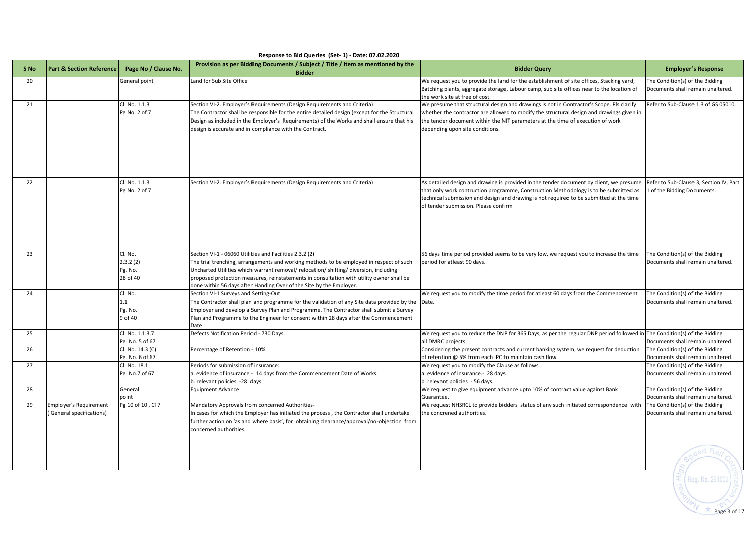|      | Response to Bid Queries (Set-1) - Date: 07.02.2020 |                                                |                                                                                                                                                                                                                                                                                                                                                                                                                |                                                                                                                                                                                                                                                                                                                    |                                                                        |  |  |  |  |  |  |
|------|----------------------------------------------------|------------------------------------------------|----------------------------------------------------------------------------------------------------------------------------------------------------------------------------------------------------------------------------------------------------------------------------------------------------------------------------------------------------------------------------------------------------------------|--------------------------------------------------------------------------------------------------------------------------------------------------------------------------------------------------------------------------------------------------------------------------------------------------------------------|------------------------------------------------------------------------|--|--|--|--|--|--|
| S No | <b>Part &amp; Section Reference</b>                | Page No / Clause No.                           | Provision as per Bidding Documents / Subject / Title / Item as mentioned by the<br><b>Bidder</b>                                                                                                                                                                                                                                                                                                               | <b>Bidder Query</b>                                                                                                                                                                                                                                                                                                | <b>Employer's Response</b>                                             |  |  |  |  |  |  |
| 20   |                                                    | General point                                  | Land for Sub Site Office                                                                                                                                                                                                                                                                                                                                                                                       | We request you to provide the land for the establishment of site offices, Stacking yard,<br>Batching plants, aggregate storage, Labour camp, sub site offices near to the location of<br>the work site at free of cost.                                                                                            | The Condition(s) of the Bidding<br>Documents shall remain unaltered.   |  |  |  |  |  |  |
| 21   |                                                    | Cl. No. 1.1.3<br>Pg No. 2 of 7                 | Section VI-2. Employer's Requirements (Design Requirements and Criteria)<br>The Contractor shall be responsible for the entire detailed design (except for the Structural<br>Design as included in the Employer's Requirements) of the Works and shall ensure that his<br>design is accurate and in compliance with the Contract.                                                                              | We presume that structural design and drawings is not in Contractor's Scope. Pls clarify<br>whether the contractor are allowed to modify the structural design and drawings given in<br>the tender document within the NIT parameters at the time of execution of work<br>depending upon site conditions.          | Refer to Sub-Clause 1.3 of GS 05010.                                   |  |  |  |  |  |  |
| 22   | Cl. No. 1.1.3<br>Pg No. 2 of 7                     |                                                | Section VI-2. Employer's Requirements (Design Requirements and Criteria)                                                                                                                                                                                                                                                                                                                                       | As detailed design and drawing is provided in the tender document by client, we presume<br>that only work contruction programme, Construction Methodology is to be submitted as<br>technical submission and design and drawing is not required to be submitted at the time<br>of tender submission. Please confirm | Refer to Sub-Clause 3, Section IV, Part<br>1 of the Bidding Documents. |  |  |  |  |  |  |
| 23   |                                                    | Cl. No.<br>2.3.2(2)<br>Pg. No.<br>28 of 40     | Section VI-1 - 06060 Utilities and Facilities 2.3.2 (2)<br>The trial trenching, arrangements and working methods to be employed in respect of such<br>Uncharted Utilities which warrant removal/ relocation/ shifting/ diversion, including<br>proposed protection measures, reinstatements in consultation with utility owner shall be<br>done within 56 days after Handing Over of the Site by the Employer. | 56 days time period provided seems to be very low, we request you to increase the time<br>period for atleast 90 days.                                                                                                                                                                                              | The Condition(s) of the Bidding<br>Documents shall remain unaltered.   |  |  |  |  |  |  |
| 24   |                                                    | Cl. No.<br>$\mathsf{L}1$<br>Pg. No.<br>9 of 40 | Section VI-1 Surveys and Setting-Out<br>The Contractor shall plan and programme for the validation of any Site data provided by the<br>Employer and develop a Survey Plan and Programme. The Contractor shall submit a Survey<br>Plan and Programme to the Engineer for consent within 28 days after the Commencement<br>Date                                                                                  | We request you to modify the time period for atleast 60 days from the Commencement<br>Date.                                                                                                                                                                                                                        | The Condition(s) of the Bidding<br>Documents shall remain unaltered.   |  |  |  |  |  |  |
| 25   |                                                    | Cl. No. 1.1.3.7<br>Pg. No. 5 of 67             | Defects Notification Period - 730 Days                                                                                                                                                                                                                                                                                                                                                                         | We request you to reduce the DNP for 365 Days, as per the regular DNP period followed in The Condition(s) of the Bidding<br>all DMRC projects                                                                                                                                                                      | Documents shall remain unaltered.                                      |  |  |  |  |  |  |
| 26   |                                                    | Cl. No. 14.3 (C)<br>Pg. No. 6 of 67            | Percentage of Retention - 10%                                                                                                                                                                                                                                                                                                                                                                                  | Considering the present contracts and current banking system, we request for deduction<br>of retention @ 5% from each IPC to maintain cash flow.                                                                                                                                                                   | The Condition(s) of the Bidding<br>Documents shall remain unaltered.   |  |  |  |  |  |  |
| 27   |                                                    | Cl. No. 18.1<br>Pg. No.7 of 67                 | Periods for submission of insurance:<br>a. evidence of insurance.- 14 days from the Commencement Date of Works.<br>b. relevant policies -28 days.                                                                                                                                                                                                                                                              | We request you to modify the Clause as follows<br>a. evidence of insurance.- 28 days<br>b. relevant policies - 56 days.                                                                                                                                                                                            | The Condition(s) of the Bidding<br>Documents shall remain unaltered.   |  |  |  |  |  |  |
| 28   |                                                    | General<br>ooint                               | <b>Equipment Advance</b>                                                                                                                                                                                                                                                                                                                                                                                       | We request to give equipment advance upto 10% of contract value against Bank<br>Guarantee.                                                                                                                                                                                                                         | The Condition(s) of the Bidding<br>Documents shall remain unaltered.   |  |  |  |  |  |  |
| 29   | Employer's Requirement<br>General specifications)  | Pg 10 of 10, Cl 7                              | Mandatory Approvals from concerned Authorities-<br>In cases for which the Employer has initiated the process, the Contractor shall undertake<br>further action on 'as and where basis', for obtaining clearance/approval/no-objection from<br>concerned authorities.                                                                                                                                           | We request NHSRCL to provide bidders status of any such initiated correspondence with<br>the concrened authorities.                                                                                                                                                                                                | The Condition(s) of the Bidding<br>Documents shall remain unaltered.   |  |  |  |  |  |  |
|      |                                                    |                                                |                                                                                                                                                                                                                                                                                                                                                                                                                |                                                                                                                                                                                                                                                                                                                    | No 2910                                                                |  |  |  |  |  |  |

 $\rangle$  Page 3 of 17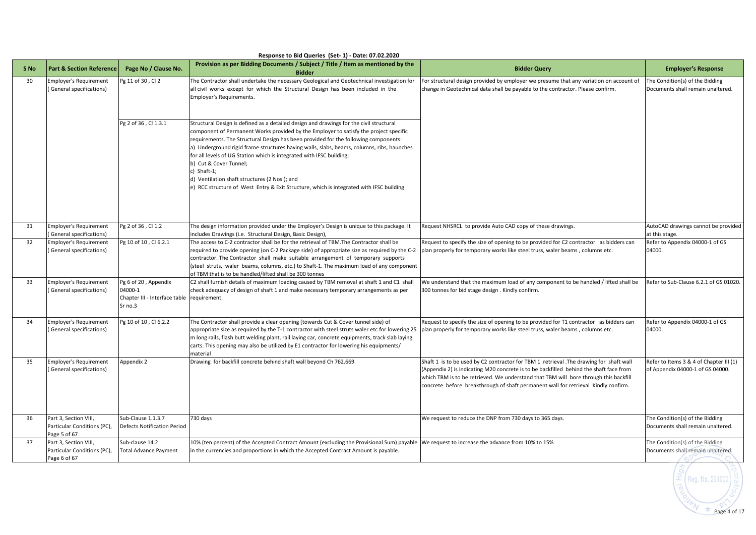| S <sub>No</sub> | <b>Part &amp; Section Reference</b>                                  | Page No / Clause No.                                                                     | Provision as per Bidding Documents / Subject / Title / Item as mentioned by the<br><b>Bidder</b>                                                                                                                                                                                                                                                                                                                                                                                                                                                                                                                                  | <b>Bidder Query</b>                                                                                                                                                                                                                                                                                                                                            | <b>Employer's Response</b>                                                  |
|-----------------|----------------------------------------------------------------------|------------------------------------------------------------------------------------------|-----------------------------------------------------------------------------------------------------------------------------------------------------------------------------------------------------------------------------------------------------------------------------------------------------------------------------------------------------------------------------------------------------------------------------------------------------------------------------------------------------------------------------------------------------------------------------------------------------------------------------------|----------------------------------------------------------------------------------------------------------------------------------------------------------------------------------------------------------------------------------------------------------------------------------------------------------------------------------------------------------------|-----------------------------------------------------------------------------|
| 30              | <b>Employer's Requirement</b><br>(General specifications)            | Pg 11 of 30, Cl 2                                                                        | The Contractor shall undertake the necessary Geological and Geotechnical investigation for<br>all civil works except for which the Structural Design has been included in the<br>Employer's Requirements.                                                                                                                                                                                                                                                                                                                                                                                                                         | For structural design provided by employer we presume that any variation on account of<br>change in Geotechnical data shall be payable to the contractor. Please confirm.                                                                                                                                                                                      | The Condition(s) of the Bidding<br>Documents shall remain unaltered.        |
|                 |                                                                      | Pg 2 of 36, Cl 1.3.1                                                                     | Structural Design is defined as a detailed design and drawings for the civil structural<br>component of Permanent Works provided by the Employer to satisfy the project specific<br>requirements. The Structural Design has been provided for the following components:<br>a) Underground rigid frame structures having walls, slabs, beams, columns, ribs, haunches<br>for all levels of UG Station which is integrated with IFSC building;<br>b) Cut & Cover Tunnel;<br>c) Shaft-1;<br>d) Ventilation shaft structures (2 Nos.); and<br>e) RCC structure of West Entry & Exit Structure, which is integrated with IFSC building |                                                                                                                                                                                                                                                                                                                                                                |                                                                             |
| 31              | <b>Employer's Requirement</b><br>General specifications)             | Pg 2 of 36, Cl 1.2                                                                       | The design information provided under the Employer's Design is unique to this package. It<br>includes Drawings (i.e. Structural Design, Basic Design),                                                                                                                                                                                                                                                                                                                                                                                                                                                                            | Request NHSRCL to provide Auto CAD copy of these drawings.                                                                                                                                                                                                                                                                                                     | AutoCAD drawings cannot be provided<br>at this stage.                       |
| 32              | Employer's Requirement                                               | Pg 10 of 10, Cl 6.2.1                                                                    | The access to C-2 contractor shall be for the retrieval of TBM. The Contractor shall be                                                                                                                                                                                                                                                                                                                                                                                                                                                                                                                                           | Request to specify the size of opening to be provided for C2 contractor as bidders can                                                                                                                                                                                                                                                                         | Refer to Appendix 04000-1 of GS                                             |
|                 | General specifications)                                              |                                                                                          | required to provide opening (on C-2 Package side) of appropriate size as required by the C-2<br>contractor. The Contractor shall make suitable arrangement of temporary supports<br>(steel struts, waler beams, columns, etc.) to Shaft-1. The maximum load of any component<br>of TBM that is to be handled/lifted shall be 300 tonnes                                                                                                                                                                                                                                                                                           | plan properly for temporary works like steel truss, waler beams, columns etc.                                                                                                                                                                                                                                                                                  | 04000.                                                                      |
| 33              | Employer's Requirement<br>General specifications)                    | Pg 6 of 20, Appendix<br>04000-1<br>Chapter III - Interface table requirement.<br>Sr no.3 | C2 shall furnish details of maximum loading caused by TBM removal at shaft 1 and C1 shall<br>check adequacy of design of shaft 1 and make necessary temporary arrangements as per                                                                                                                                                                                                                                                                                                                                                                                                                                                 | We understand that the maximum load of any component to be handled / lifted shall be<br>300 tonnes for bid stage design. Kindly confirm.                                                                                                                                                                                                                       | Refer to Sub-Clause 6.2.1 of GS 01020.                                      |
| 34              | Employer's Requirement<br>General specifications)                    | Pg 10 of 10, Cl 6.2.2                                                                    | The Contractor shall provide a clear opening (towards Cut & Cover tunnel side) of<br>appropriate size as required by the T-1 contractor with steel struts waler etc for lowering 25<br>m long rails, flash butt welding plant, rail laying car, concrete equipments, track slab laying<br>carts. This opening may also be utilized by E1 contractor for lowering his equipments/<br>material                                                                                                                                                                                                                                      | Request to specify the size of opening to be provided for T1 contractor as bidders can<br>plan properly for temporary works like steel truss, waler beams, columns etc.                                                                                                                                                                                        | Refer to Appendix 04000-1 of GS<br>04000.                                   |
| 35              | <b>Employer's Requirement</b><br>General specifications)             | Appendix 2<br>Drawing for backfill concrete behind shaft wall beyond Ch 762.669          |                                                                                                                                                                                                                                                                                                                                                                                                                                                                                                                                                                                                                                   | Shaft 1 is to be used by C2 contractor for TBM 1 retrieval .The drawing for shaft wall<br>(Appendix 2) is indicating M20 concrete is to be backfilled behind the shaft face from<br>which TBM is to be retrieved. We understand that TBM will bore through this backfill<br>concrete before breakthrough of shaft permanent wall for retrieval Kindly confirm. | Refer to Items 3 & 4 of Chapter III (1)<br>of Appendix 04000-1 of GS 04000. |
| 36              | Part 3, Section VIII,<br>Particular Conditions (PC),<br>Page 5 of 67 | Sub-Clause 1.1.3.7<br><b>Defects Notification Period</b>                                 | 730 days                                                                                                                                                                                                                                                                                                                                                                                                                                                                                                                                                                                                                          | We request to reduce the DNP from 730 days to 365 days.                                                                                                                                                                                                                                                                                                        | The Condition(s) of the Bidding<br>Documents shall remain unaltered.        |
| 37              | Part 3, Section VIII,<br>Particular Conditions (PC),<br>Page 6 of 67 | Sub-clause 14.2<br>Total Advance Payment                                                 | 10% (ten percent) of the Accepted Contract Amount (excluding the Provisional Sum) payable We request to increase the advance from 10% to 15%<br>in the currencies and proportions in which the Accepted Contract Amount is payable.                                                                                                                                                                                                                                                                                                                                                                                               |                                                                                                                                                                                                                                                                                                                                                                | The Condition(s) of the Bidding<br>Documents shall remain unaltered.        |

## **Response to Bid Queries (Set- 1) - Date: 07.02.2020**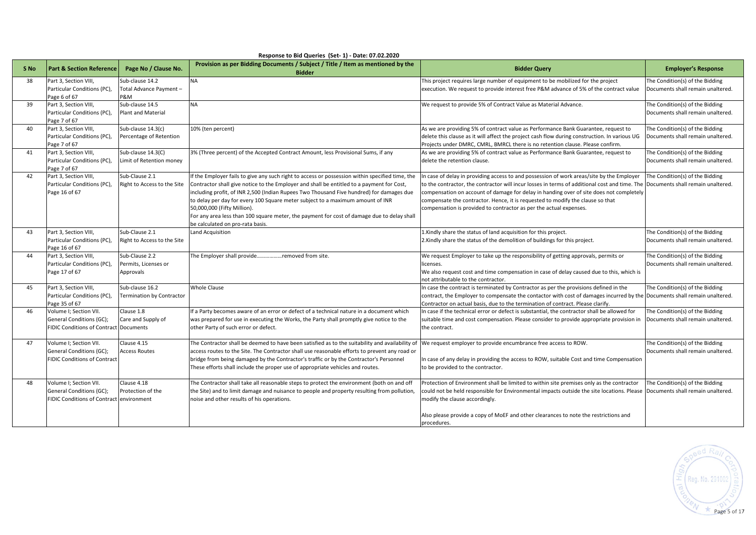|                 | Response to Bid Queries (Set-1) - Date: 07.02.2020                                                                               |                                                     |                                                                                                                                                                                                                                                                                                                                                                                                                                                                                                                                             |                                                                                                                                                                                                                                                                                                                                                                                                                                               |                                                                      |  |  |  |  |  |  |
|-----------------|----------------------------------------------------------------------------------------------------------------------------------|-----------------------------------------------------|---------------------------------------------------------------------------------------------------------------------------------------------------------------------------------------------------------------------------------------------------------------------------------------------------------------------------------------------------------------------------------------------------------------------------------------------------------------------------------------------------------------------------------------------|-----------------------------------------------------------------------------------------------------------------------------------------------------------------------------------------------------------------------------------------------------------------------------------------------------------------------------------------------------------------------------------------------------------------------------------------------|----------------------------------------------------------------------|--|--|--|--|--|--|
| S <sub>No</sub> | <b>Part &amp; Section Reference</b>                                                                                              | Page No / Clause No.                                | Provision as per Bidding Documents / Subject / Title / Item as mentioned by the<br><b>Bidder</b>                                                                                                                                                                                                                                                                                                                                                                                                                                            | <b>Bidder Query</b>                                                                                                                                                                                                                                                                                                                                                                                                                           | <b>Employer's Response</b>                                           |  |  |  |  |  |  |
| 38              | Part 3. Section VIII.<br>Particular Conditions (PC),<br>Page 6 of 67                                                             | Sub-clause 14.2<br>Total Advance Payment -<br>P&M   | <b>NA</b>                                                                                                                                                                                                                                                                                                                                                                                                                                                                                                                                   | This project requires large number of equipment to be mobilized for the project<br>execution. We request to provide interest free P&M advance of 5% of the contract value                                                                                                                                                                                                                                                                     | The Condition(s) of the Bidding<br>Documents shall remain unaltered. |  |  |  |  |  |  |
| 39              | Part 3, Section VIII,<br>Particular Conditions (PC),<br>Page 7 of 67                                                             | Sub-clause 14.5<br><b>Plant and Material</b>        | <b>NA</b>                                                                                                                                                                                                                                                                                                                                                                                                                                                                                                                                   | We request to provide 5% of Contract Value as Material Advance.                                                                                                                                                                                                                                                                                                                                                                               | The Condition(s) of the Bidding<br>Documents shall remain unaltered. |  |  |  |  |  |  |
| 40              | Part 3, Section VIII,<br>Particular Conditions (PC),<br>Page 7 of 67                                                             | Sub-clause 14.3(c)<br>Percentage of Retention       | 10% (ten percent)                                                                                                                                                                                                                                                                                                                                                                                                                                                                                                                           | As we are providing 5% of contract value as Performance Bank Guarantee, request to<br>delete this clause as it will affect the project cash flow during construction. In various UG<br>Projects under DMRC, CMRL, BMRCL there is no retention clause. Please confirm.                                                                                                                                                                         | The Condition(s) of the Bidding<br>Documents shall remain unaltered. |  |  |  |  |  |  |
| 41              | Part 3, Section VIII,<br>Particular Conditions (PC),<br>Page 7 of 67                                                             | Sub-clause 14.3(C)<br>Limit of Retention money      | 3% (Three percent) of the Accepted Contract Amount, less Provisional Sums, if any                                                                                                                                                                                                                                                                                                                                                                                                                                                           | As we are providing 5% of contract value as Performance Bank Guarantee, request to<br>delete the retention clause.                                                                                                                                                                                                                                                                                                                            | The Condition(s) of the Bidding<br>Documents shall remain unaltered. |  |  |  |  |  |  |
| 42              | Part 3, Section VIII,<br>Particular Conditions (PC),<br>Page 16 of 67                                                            | Sub-Clause 2.1<br>Right to Access to the Site       | If the Employer fails to give any such right to access or possession within specified time, the<br>Contractor shall give notice to the Employer and shall be entitled to a payment for Cost,<br>including profit, of INR 2,500 (Indian Rupees Two Thousand Five hundred) for damages due<br>to delay per day for every 100 Square meter subject to a maximum amount of INR<br>50,000,000 (Fifty Million).<br>For any area less than 100 square meter, the payment for cost of damage due to delay shall<br>be calculated on pro-rata basis. | In case of delay in providing access to and possession of work areas/site by the Employer<br>to the contractor, the contractor will incur losses in terms of additional cost and time. The<br>compensation on account of damage for delay in handing over of site does not completely<br>compensate the contractor. Hence, it is requested to modify the clause so that<br>compensation is provided to contractor as per the actual expenses. | The Condition(s) of the Bidding<br>Documents shall remain unaltered. |  |  |  |  |  |  |
| 43              | Part 3, Section VIII,<br>Particular Conditions (PC),<br>Page 16 of 67                                                            | Sub-Clause 2.1<br>Right to Access to the Site       | Land Acquisition                                                                                                                                                                                                                                                                                                                                                                                                                                                                                                                            | 1. Kindly share the status of land acquisition for this project.<br>2. Kindly share the status of the demolition of buildings for this project.                                                                                                                                                                                                                                                                                               | The Condition(s) of the Bidding<br>Documents shall remain unaltered. |  |  |  |  |  |  |
| 44              | Part 3, Section VIII,<br>Particular Conditions (PC),<br>Page 17 of 67                                                            | Sub-Clause 2.2<br>Permits, Licenses or<br>Approvals | The Employer shall provideremoved from site.                                                                                                                                                                                                                                                                                                                                                                                                                                                                                                | We request Employer to take up the responsibility of getting approvals, permits or<br>licenses.<br>We also request cost and time compensation in case of delay caused due to this, which is<br>not attributable to the contractor.                                                                                                                                                                                                            | The Condition(s) of the Bidding<br>Documents shall remain unaltered. |  |  |  |  |  |  |
| 45              | Part 3, Section VIII,<br>Particular Conditions (PC),<br>Page 35 of 67                                                            | Sub-clause 16.2<br><b>Termination by Contractor</b> | <b>Whole Clause</b>                                                                                                                                                                                                                                                                                                                                                                                                                                                                                                                         | In case the contract is terminated by Contractor as per the provisions defined in the<br>contract, the Employer to compensate the contactor with cost of damages incurred by the Documents shall remain unaltered.<br>Contractor on actual basis, due to the termination of contract. Please clarify.                                                                                                                                         | The Condition(s) of the Bidding                                      |  |  |  |  |  |  |
| 46              | Volume I; Section VII.<br>Clause 1.8<br>General Conditions (GC);<br>Care and Supply of<br>FIDIC Conditions of Contract Documents |                                                     | If a Party becomes aware of an error or defect of a technical nature in a document which<br>was prepared for use in executing the Works, the Party shall promptly give notice to the<br>other Party of such error or defect.                                                                                                                                                                                                                                                                                                                | In case if the technical error or defect is substantial, the contractor shall be allowed for<br>suitable time and cost compensation. Please consider to provide appropriate provision in<br>the contract.                                                                                                                                                                                                                                     | The Condition(s) of the Bidding<br>Documents shall remain unaltered. |  |  |  |  |  |  |
| 47              | Volume I; Section VII.<br>General Conditions (GC);<br>FIDIC Conditions of Contract                                               | Clause 4.15<br><b>Access Routes</b>                 | The Contractor shall be deemed to have been satisfied as to the suitability and availability of<br>access routes to the Site. The Contractor shall use reasonable efforts to prevent any road or<br>bridge from being damaged by the Contractor's traffic or by the Contractor's Personnel<br>These efforts shall include the proper use of appropriate vehicles and routes.                                                                                                                                                                | We request employer to provide encumbrance free access to ROW.<br>In case of any delay in providing the access to ROW, suitable Cost and time Compensation<br>to be provided to the contractor.                                                                                                                                                                                                                                               | The Condition(s) of the Bidding<br>Documents shall remain unaltered. |  |  |  |  |  |  |
| 48              | Volume I; Section VII.<br>General Conditions (GC);<br>FIDIC Conditions of Contract environment                                   | Clause 4.18<br>Protection of the                    | The Contractor shall take all reasonable steps to protect the environment (both on and off<br>the Site) and to limit damage and nuisance to people and property resulting from pollution,<br>noise and other results of his operations.                                                                                                                                                                                                                                                                                                     | Protection of Environment shall be limited to within site premises only as the contractor<br>could not be held responsible for Environmental impacts outside the site locations. Please<br>modify the clause accordingly.<br>Also please provide a copy of MoEF and other clearances to note the restrictions and<br>procedures.                                                                                                              | The Condition(s) of the Bidding<br>Documents shall remain unaltered. |  |  |  |  |  |  |

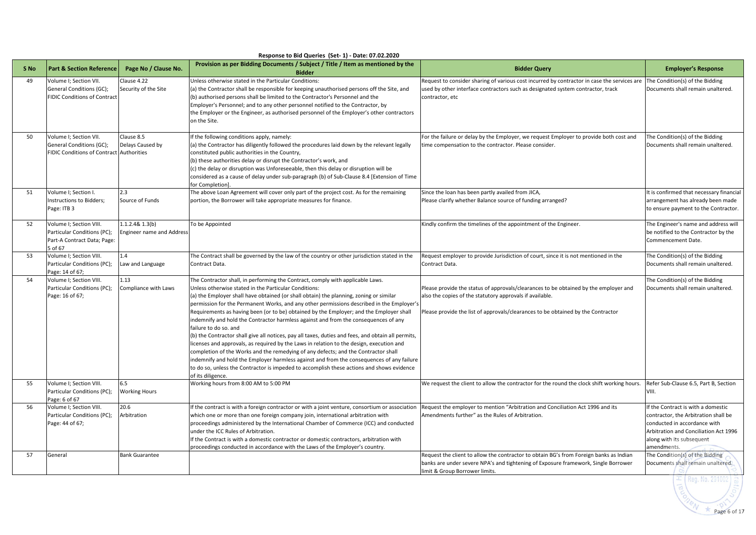|                 | Response to Bid Queries (Set-1) - Date: 07.02.2020                                               |                                                                 |                                                                                                                                                                                                                                                                                                                                                                                                                                                                                                                                                                                                                                                                                                                                                                                                                                                                                                                                                                                                                                                  |                                                                                                                                                                                                                                      |                                                                                                                                                                                                 |  |  |  |  |  |  |
|-----------------|--------------------------------------------------------------------------------------------------|-----------------------------------------------------------------|--------------------------------------------------------------------------------------------------------------------------------------------------------------------------------------------------------------------------------------------------------------------------------------------------------------------------------------------------------------------------------------------------------------------------------------------------------------------------------------------------------------------------------------------------------------------------------------------------------------------------------------------------------------------------------------------------------------------------------------------------------------------------------------------------------------------------------------------------------------------------------------------------------------------------------------------------------------------------------------------------------------------------------------------------|--------------------------------------------------------------------------------------------------------------------------------------------------------------------------------------------------------------------------------------|-------------------------------------------------------------------------------------------------------------------------------------------------------------------------------------------------|--|--|--|--|--|--|
| S <sub>No</sub> | <b>Part &amp; Section Reference</b>                                                              | Page No / Clause No.                                            | Provision as per Bidding Documents / Subject / Title / Item as mentioned by the<br><b>Bidder</b>                                                                                                                                                                                                                                                                                                                                                                                                                                                                                                                                                                                                                                                                                                                                                                                                                                                                                                                                                 | <b>Bidder Query</b>                                                                                                                                                                                                                  | <b>Employer's Response</b>                                                                                                                                                                      |  |  |  |  |  |  |
| 49              | Volume I; Section VII.<br>General Conditions (GC);<br><b>FIDIC Conditions of Contract</b>        | Clause 4.22<br>Security of the Site                             | Unless otherwise stated in the Particular Conditions:<br>(a) the Contractor shall be responsible for keeping unauthorised persons off the Site, and<br>(b) authorised persons shall be limited to the Contractor's Personnel and the<br>Employer's Personnel; and to any other personnel notified to the Contractor, by<br>the Employer or the Engineer, as authorised personnel of the Employer's other contractors<br>on the Site.                                                                                                                                                                                                                                                                                                                                                                                                                                                                                                                                                                                                             | Request to consider sharing of various cost incurred by contractor in case the services are<br>used by other interface contractors such as designated system contractor, track<br>contractor, etc                                    | The Condition(s) of the Bidding<br>Documents shall remain unaltered.                                                                                                                            |  |  |  |  |  |  |
| 50              | Volume I; Section VII.<br>General Conditions (GC);<br>FIDIC Conditions of Contract Authorities   | Clause 8.5<br>Delays Caused by                                  | If the following conditions apply, namely:<br>(a) the Contractor has diligently followed the procedures laid down by the relevant legally<br>constituted public authorities in the Country,<br>(b) these authorities delay or disrupt the Contractor's work, and<br>(c) the delay or disruption was Unforeseeable, then this delay or disruption will be<br>considered as a cause of delay under sub-paragraph (b) of Sub-Clause 8.4 [Extension of Time<br>for Completion].                                                                                                                                                                                                                                                                                                                                                                                                                                                                                                                                                                      | For the failure or delay by the Employer, we request Employer to provide both cost and<br>time compensation to the contractor. Please consider.                                                                                      | The Condition(s) of the Bidding<br>Documents shall remain unaltered.                                                                                                                            |  |  |  |  |  |  |
| 51              | Volume I; Section I.<br>Instructions to Bidders;<br>Page: ITB 3                                  | 2.3<br>Source of Funds                                          | The above Loan Agreement will cover only part of the project cost. As for the remaining<br>portion, the Borrower will take appropriate measures for finance.                                                                                                                                                                                                                                                                                                                                                                                                                                                                                                                                                                                                                                                                                                                                                                                                                                                                                     | Since the loan has been partly availed from JICA,<br>Please clarify whether Balance source of funding arranged?                                                                                                                      | It is confirmed that necessary financial<br>arrangement has already been made<br>to ensure payment to the Contractor.                                                                           |  |  |  |  |  |  |
| 52              | Volume I; Section VIII.<br>Particular Conditions (PC);<br>Part-A Contract Data; Page:<br>5 of 67 | 1.1.2.4& 1.3(b)<br>To be Appointed<br>Engineer name and Address |                                                                                                                                                                                                                                                                                                                                                                                                                                                                                                                                                                                                                                                                                                                                                                                                                                                                                                                                                                                                                                                  | Kindly confirm the timelines of the appointment of the Engineer.                                                                                                                                                                     | The Engineer's name and address will<br>be notified to the Contractor by the<br>Commencement Date.                                                                                              |  |  |  |  |  |  |
| 53              | Volume I; Section VIII.<br>Particular Conditions (PC);<br>Page: 14 of 67;                        | 1.4<br>Law and Language                                         | The Contract shall be governed by the law of the country or other jurisdiction stated in the<br>Contract Data.                                                                                                                                                                                                                                                                                                                                                                                                                                                                                                                                                                                                                                                                                                                                                                                                                                                                                                                                   | Request employer to provide Jurisdiction of court, since it is not mentioned in the<br>Contract Data.                                                                                                                                | The Condition(s) of the Bidding<br>Documents shall remain unaltered.                                                                                                                            |  |  |  |  |  |  |
| 54              | Volume I; Section VIII.<br>Particular Conditions (PC);<br>Page: 16 of 67;                        | 1.13<br>Compliance with Laws                                    | The Contractor shall, in performing the Contract, comply with applicable Laws.<br>Unless otherwise stated in the Particular Conditions:<br>(a) the Employer shall have obtained (or shall obtain) the planning, zoning or similar<br>permission for the Permanent Works, and any other permissions described in the Employer's<br>Requirements as having been (or to be) obtained by the Employer; and the Employer shall<br>indemnify and hold the Contractor harmless against and from the consequences of any<br>failure to do so. and<br>(b) the Contractor shall give all notices, pay all taxes, duties and fees, and obtain all permits,<br>licenses and approvals, as required by the Laws in relation to the design, execution and<br>completion of the Works and the remedying of any defects; and the Contractor shall<br>indemnify and hold the Employer harmless against and from the consequences of any failure<br>to do so, unless the Contractor is impeded to accomplish these actions and shows evidence<br>of its diligence. | Please provide the status of approvals/clearances to be obtained by the employer and<br>also the copies of the statutory approvals if available.<br>Please provide the list of approvals/clearances to be obtained by the Contractor | The Condition(s) of the Bidding<br>Documents shall remain unaltered.                                                                                                                            |  |  |  |  |  |  |
| 55              | Volume I; Section VIII.<br>Particular Conditions (PC);<br>Page: 6 of 67                          | 6.5<br><b>Working Hours</b>                                     | Working hours from 8:00 AM to 5:00 PM                                                                                                                                                                                                                                                                                                                                                                                                                                                                                                                                                                                                                                                                                                                                                                                                                                                                                                                                                                                                            | We request the client to allow the contractor for the round the clock shift working hours.                                                                                                                                           | Refer Sub-Clause 6.5, Part B, Section<br>VIII.                                                                                                                                                  |  |  |  |  |  |  |
| 56              | Volume I; Section VIII.<br>Particular Conditions (PC);<br>Page: 44 of 67;                        | 20.6<br>Arbitration                                             | If the contract is with a foreign contractor or with a joint venture, consortium or association<br>which one or more than one foreign company join, international arbitration with<br>proceedings administered by the International Chamber of Commerce (ICC) and conducted<br>under the ICC Rules of Arbitration.<br>If the Contract is with a domestic contractor or domestic contractors, arbitration with<br>proceedings conducted in accordance with the Laws of the Employer's country.                                                                                                                                                                                                                                                                                                                                                                                                                                                                                                                                                    | Request the employer to mention "Arbitration and Conciliation Act 1996 and its<br>Amendments further" as the Rules of Arbitration.                                                                                                   | If the Contract is with a domestic<br>contractor, the Arbitration shall be<br>conducted in accordance with<br>Arbitration and Conciliation Act 1996<br>along with its subsequent<br>amendments. |  |  |  |  |  |  |
| 57              | General                                                                                          | <b>Bank Guarantee</b>                                           |                                                                                                                                                                                                                                                                                                                                                                                                                                                                                                                                                                                                                                                                                                                                                                                                                                                                                                                                                                                                                                                  | Request the client to allow the contractor to obtain BG's from Foreign banks as Indian<br>banks are under severe NPA's and tightening of Exposure framework, Single Borrower<br>limit & Group Borrower limits.                       | The Condition(s) of the Bidding<br>Documents shall remain unaltered.                                                                                                                            |  |  |  |  |  |  |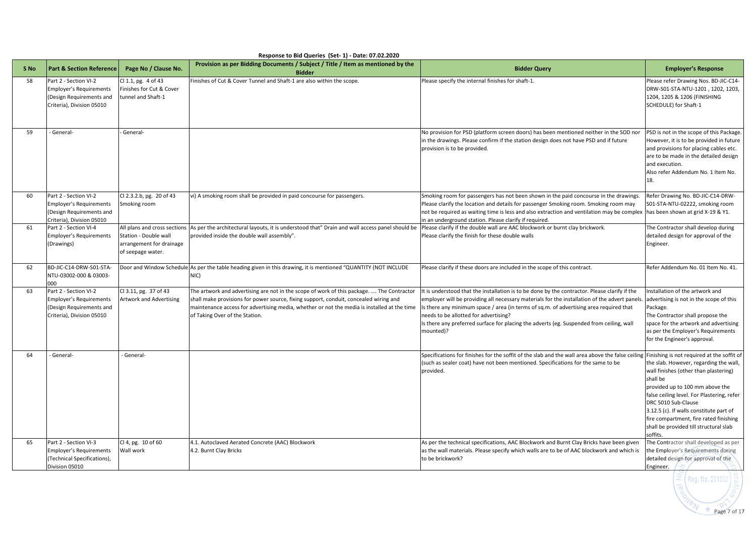|      | Response to Bid Queries (Set-1) - Date: 07.02.2020                                                               |                                                                        |                                                                                                                                                                                                                                                                                                                     |                                                                                                                                                                                                                                                                                                                                                                                                                                           |                                                                                                                                                                                                                                                                                                                                                                                              |  |  |  |  |  |
|------|------------------------------------------------------------------------------------------------------------------|------------------------------------------------------------------------|---------------------------------------------------------------------------------------------------------------------------------------------------------------------------------------------------------------------------------------------------------------------------------------------------------------------|-------------------------------------------------------------------------------------------------------------------------------------------------------------------------------------------------------------------------------------------------------------------------------------------------------------------------------------------------------------------------------------------------------------------------------------------|----------------------------------------------------------------------------------------------------------------------------------------------------------------------------------------------------------------------------------------------------------------------------------------------------------------------------------------------------------------------------------------------|--|--|--|--|--|
| S No | <b>Part &amp; Section Reference</b>                                                                              | Page No / Clause No.                                                   | Provision as per Bidding Documents / Subject / Title / Item as mentioned by the<br><b>Bidder</b>                                                                                                                                                                                                                    | <b>Bidder Query</b>                                                                                                                                                                                                                                                                                                                                                                                                                       | <b>Employer's Response</b>                                                                                                                                                                                                                                                                                                                                                                   |  |  |  |  |  |
| 58   | Part 2 - Section VI-2<br><b>Employer's Requirements</b><br>(Design Requirements and<br>Criteria), Division 05010 | Cl 1.1, pg. 4 of 43<br>Finishes for Cut & Cover<br>tunnel and Shaft-1  | Finishes of Cut & Cover Tunnel and Shaft-1 are also within the scope.                                                                                                                                                                                                                                               | Please specify the internal finishes for shaft-1.                                                                                                                                                                                                                                                                                                                                                                                         | Please refer Drawing Nos. BD-JIC-C14-<br>DRW-S01-STA-NTU-1201, 1202, 1203,<br>1204, 1205 & 1206 (FINISHING<br>SCHEDULE) for Shaft-1                                                                                                                                                                                                                                                          |  |  |  |  |  |
| 59   | - General-                                                                                                       | General-                                                               |                                                                                                                                                                                                                                                                                                                     | No provision for PSD (platform screen doors) has been mentioned neither in the SOD nor<br>in the drawings. Please confirm if the station design does not have PSD and if future<br>provision is to be provided.                                                                                                                                                                                                                           | PSD is not in the scope of this Package.<br>However, it is to be provided in future<br>and provisions for placing cables etc.<br>are to be made in the detailed design<br>and execution.<br>Also refer Addendum No. 1 Item No.<br>18.                                                                                                                                                        |  |  |  |  |  |
| 60   | Part 2 - Section VI-2<br><b>Employer's Requirements</b><br>Design Requirements and<br>Criteria), Division 05010  | Cl 2.3.2.b, pg. 20 of 43<br>Smoking room                               | vi) A smoking room shall be provided in paid concourse for passengers.                                                                                                                                                                                                                                              | Smoking room for passengers has not been shown in the paid concourse in the drawings.<br>Please clarify the location and details for passenger Smoking room. Smoking room may<br>not be required as waiting time is less and also extraction and ventilation may be complex<br>in an underground station. Please clarify if required.                                                                                                     | Refer Drawing No. BD-JIC-C14-DRW-<br>S01-STA-NTU-02222, smoking room<br>has been shown at grid X-19 & Y1.                                                                                                                                                                                                                                                                                    |  |  |  |  |  |
| 61   | Part 2 - Section VI-4<br><b>Employer's Requirements</b><br>(Drawings)                                            | Station - Double wall<br>arrangement for drainage<br>of seepage water. | All plans and cross sections As per the architectural layouts, it is understood that" Drain and wall access panel should be<br>provided inside the double wall assembly".                                                                                                                                           | Please clarify if the double wall are AAC blockwork or burnt clay brickwork.<br>Please clarify the finish for these double walls                                                                                                                                                                                                                                                                                                          | The Contractor shall develop during<br>detailed design for approval of the<br>Engineer.                                                                                                                                                                                                                                                                                                      |  |  |  |  |  |
| 62   | BD-JIC-C14-DRW-S01-STA-<br>NTU-03002-000 & 03003-<br>000                                                         |                                                                        | Door and Window Schedule As per the table heading given in this drawing, it is mentioned "QUANTITY (NOT INCLUDE<br>NIC)                                                                                                                                                                                             | Please clarify if these doors are included in the scope of this contract.                                                                                                                                                                                                                                                                                                                                                                 | Refer Addendum No. 01 Item No. 41.                                                                                                                                                                                                                                                                                                                                                           |  |  |  |  |  |
| 63   | Part 2 - Section VI-2<br><b>Employer's Requirements</b><br>(Design Requirements and<br>Criteria), Division 05010 | Cl 3.11, pg. 37 of 43<br><b>Artwork and Advertising</b>                | The artwork and advertising are not in the scope of work of this package.  The Contractor<br>shall make provisions for power source, fixing support, conduit, concealed wiring and<br>maintenance access for advertising media, whether or not the media is installed at the time<br>of Taking Over of the Station. | It is understood that the installation is to be done by the contractor. Please clarify if the<br>employer will be providing all necessary materials for the installation of the advert panels<br>Is there any minimum space / area (in terms of sq.m. of advertising area required that<br>needs to be allotted for advertising?<br>Is there any preferred surface for placing the adverts (eg. Suspended from ceiling, wall<br>mounted)? | Installation of the artwork and<br>advertising is not in the scope of this<br>Package.<br>The Contractor shall propose the<br>space for the artwork and advertising<br>as per the Employer's Requirements<br>for the Engineer's approval.                                                                                                                                                    |  |  |  |  |  |
| 64   | General                                                                                                          | General-                                                               |                                                                                                                                                                                                                                                                                                                     | Specifications for finishes for the soffit of the slab and the wall area above the false ceiling<br>(such as sealer coat) have not been mentioned. Specifications for the same to be<br>provided.                                                                                                                                                                                                                                         | Finishing is not required at the soffit of<br>the slab. However, regarding the wall,<br>wall finishes (other than plastering)<br>shall be<br>provided up to 100 mm above the<br>false ceiling level. For Plastering, refer<br>DRC 5010 Sub-Clause<br>3.12.5 (c). If walls constitute part of<br>fire compartment, fire rated finishing<br>shall be provided till structural slab<br>soffits. |  |  |  |  |  |
| 65   | Part 2 - Section VI-3<br><b>Employer's Requirements</b><br>(Technical Specifications),<br>Division 05010         | Cl 4, pg. 10 of 60<br>Wall work                                        | 4.1. Autoclaved Aerated Concrete (AAC) Blockwork<br>4.2. Burnt Clay Bricks                                                                                                                                                                                                                                          | As per the technical specifications, AAC Blockwork and Burnt Clay Bricks have been given<br>as the wall materials. Please specify which walls are to be of AAC blockwork and which is<br>to be brickwork?                                                                                                                                                                                                                                 | The Contractor shall developed as per<br>the Employer's Requirements during<br>detailed design for approval of the<br>Engineer.<br>nn in                                                                                                                                                                                                                                                     |  |  |  |  |  |

Page 7 of 17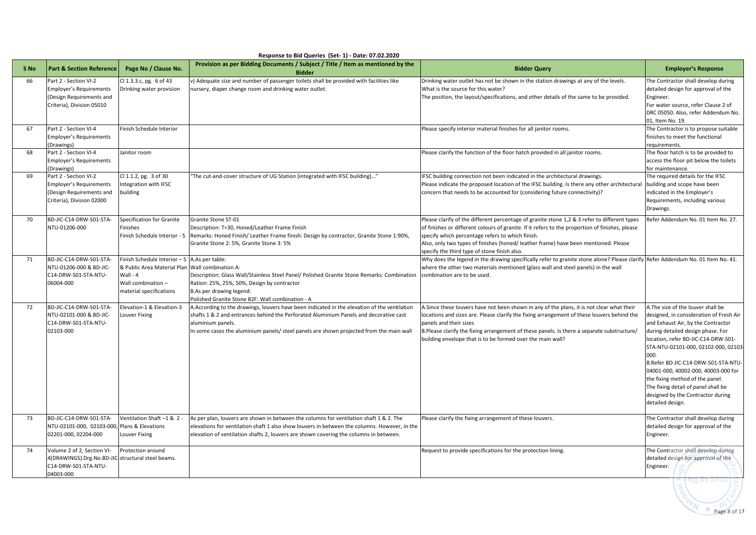|                 | Response to Bid Queries (Set-1) - Date: 07.02.2020                                                                   |                                                                                                                                                               |                                                                                                                                                                                                                                                                                                        |                                                                                                                                                                                                                                                                                                                                                                                            |                                                                                                                                                                                                                                                                                                                                                                                                                                                                 |  |  |  |  |  |  |
|-----------------|----------------------------------------------------------------------------------------------------------------------|---------------------------------------------------------------------------------------------------------------------------------------------------------------|--------------------------------------------------------------------------------------------------------------------------------------------------------------------------------------------------------------------------------------------------------------------------------------------------------|--------------------------------------------------------------------------------------------------------------------------------------------------------------------------------------------------------------------------------------------------------------------------------------------------------------------------------------------------------------------------------------------|-----------------------------------------------------------------------------------------------------------------------------------------------------------------------------------------------------------------------------------------------------------------------------------------------------------------------------------------------------------------------------------------------------------------------------------------------------------------|--|--|--|--|--|--|
| S <sub>No</sub> | <b>Part &amp; Section Reference</b>                                                                                  | Page No / Clause No.                                                                                                                                          | Provision as per Bidding Documents / Subject / Title / Item as mentioned by the<br><b>Bidder</b>                                                                                                                                                                                                       | <b>Bidder Query</b>                                                                                                                                                                                                                                                                                                                                                                        | <b>Employer's Response</b>                                                                                                                                                                                                                                                                                                                                                                                                                                      |  |  |  |  |  |  |
| 66              | Part 2 - Section VI-2<br><b>Employer's Requirements</b><br>(Design Requirements and<br>Criteria), Division 05010     | Cl 1.3.3.c, pg. 6 of 43<br>Drinking water provision                                                                                                           | v) Adequate size and number of passenger toilets shall be provided with facilities like<br>nursery, diaper change room and drinking water outlet.                                                                                                                                                      | Drinking water outlet has not be shown in the station drawings at any of the levels.<br>What is the source for this water?<br>The position, the layout/specifications, and other details of the same to be provided.                                                                                                                                                                       | The Contractor shall develop during<br>detailed design for approval of the<br>Engineer.<br>For water source, refer Clause 2 of<br>DRC 05050. Also, refer Addendum No.<br>01, Item No. 19.                                                                                                                                                                                                                                                                       |  |  |  |  |  |  |
| 67              | Part 2 - Section VI-4<br><b>Employer's Requirements</b><br>(Drawings)                                                | Finish Schedule Interior                                                                                                                                      |                                                                                                                                                                                                                                                                                                        | Please specify interior material finishes for all janitor rooms.                                                                                                                                                                                                                                                                                                                           | The Contractor is to propose suitable<br>finishes to meet the functional<br>requirements.                                                                                                                                                                                                                                                                                                                                                                       |  |  |  |  |  |  |
| 68              | Part 2 - Section VI-4<br><b>Employer's Requirements</b><br>(Drawings)                                                | Janitor room                                                                                                                                                  |                                                                                                                                                                                                                                                                                                        | Please clarify the function of the floor hatch provided in all janitor rooms.                                                                                                                                                                                                                                                                                                              | The floor hatch is to be provided to<br>access the floor pit below the toilets<br>for maintenance.                                                                                                                                                                                                                                                                                                                                                              |  |  |  |  |  |  |
| 69              | Part 2 - Section VI-2<br><b>Employer's Requirements</b><br>(Design Requirements and<br>Criteria), Division 02000     | Cl 1.1.2, pg. 3 of 30<br>Integration with IFSC<br>building                                                                                                    | "The cut-and-cover structure of UG Station (integrated with IFSC building)"                                                                                                                                                                                                                            | IFSC building connection not been indicated in the architectural drawings.<br>Please indicate the proposed location of the IFSC building. Is there any other architectural<br>concern that needs to be accounted for (considering future connectivity)?                                                                                                                                    | The required details for the IFSC<br>building and scope have been<br>indicated in the Employer's<br>Requirements, including various<br>Drawings.                                                                                                                                                                                                                                                                                                                |  |  |  |  |  |  |
| 70              | BD-JIC-C14-DRW-S01-STA-<br>NTU-01206-000                                                                             | Specification for Granite<br>Finishes<br>Finish Schedule Interior - 5                                                                                         | Granite Stone ST-01<br>Description: T=30, Honed/Leather Frame Finish<br>Remarks: Honed Finish/ Leather Frame finish: Design by contractor, Granite Stone 1:90%,<br>Granite Stone 2: 5%, Granite Stone 3: 5%                                                                                            | Please clarify of the different percentage of granite stone 1,2 & 3 refer to different types<br>of finishes or different colours of granite. If it refers to the proportion of finishes, please<br>specify which percentage refers to which finish.<br>Also, only two types of finishes (honed/ leather frame) have been mentioned. Please<br>specify the third type of stone finish also. | Refer Addendum No. 01 Item No. 27.                                                                                                                                                                                                                                                                                                                                                                                                                              |  |  |  |  |  |  |
| 71              | BD-JIC-C14-DRW-S01-STA-<br>NTU-01206-000 & BD-JIC-<br>C14-DRW-S01-STA-NTU-<br>06004-000                              | Finish Schedule Interior $-5$ A.As per table:<br>& Public Area Material Plan Wall combination A:<br>Wall - 4<br>Wall combination -<br>material specifications | Description: Glass Wall/Stainless Steel Panel/ Polished Granite Stone Remarks: Combination<br>Ration: 25%, 25%, 50%, Design by contractor<br>B.As per drawing legend:<br>Polished Granite Stone B2F: Wall combination - A                                                                              | Why does the legend in the drawing specifically refer to granite stone alone? Please clarify Refer Addendum No. 01 Item No. 41.<br>where the other two materials mentioned (glass wall and steel panels) in the wall<br>combination are to be used.                                                                                                                                        |                                                                                                                                                                                                                                                                                                                                                                                                                                                                 |  |  |  |  |  |  |
| 72              | BD-JIC-C14-DRW-S01-STA-<br>NTU-02101-000 & BD-JIC-<br>C14-DRW-S01-STA-NTU-<br>02103-000                              | Elevation-1 & Elevation-3<br>Louver Fixing                                                                                                                    | A. According to the drawings, louvers have been indicated in the elevation of the ventilation<br>shafts 1 & 2 and entrances behind the Perforated Aluminium Panels and decorative cast<br>aluminium panels.<br>In some cases the aluminium panels/ steel panels are shown projected from the main wall | A.Since these louvers have not been shown in any of the plans, it is not clear what their<br>locations and sizes are. Please clarify the fixing arrangement of these louvers behind the<br>panels and their sizes<br>B.Please clarify the fixing arrangement of these panels. Is there a separate substructure/<br>building envelope that is to be formed over the main wall?              | A. The size of the louver shall be<br>designed, in consideration of Fresh Air<br>and Exhaust Air, by the Contractor<br>during detailed design phase. For<br>location, refer BD-JIC-C14-DRW-S01-<br>STA-NTU-02101-000, 02102-000, 02103-<br>000.<br>B.Refer BD-JIC-C14-DRW-S01-STA-NTU<br>04001-000, 40002-000, 40003-000 for<br>the fixing method of the panel.<br>The fixing detail of panel shall be<br>designed by the Contractor during<br>detailed design. |  |  |  |  |  |  |
| 73              | BD-JIC-C14-DRW-S01-STA-<br>NTU-02101-000, 02103-000, Plans & Elevations<br>02201-000, 02204-000                      | Ventilation Shaft-1 & 2-<br>Louver Fixing                                                                                                                     | As per plan, louvers are shown in between the columns for ventilation shaft 1 & 2. The<br>elevations for ventilation shaft 1 also show louvers in between the columns. However, in the<br>elevation of ventilation shafts 2, louvers are shown covering the columns in between.                        | Please clarify the fixing arrangement of these louvers.                                                                                                                                                                                                                                                                                                                                    | The Contractor shall develop during<br>detailed design for approval of the<br>Engineer.                                                                                                                                                                                                                                                                                                                                                                         |  |  |  |  |  |  |
| 74              | Volume 2 of 2, Section VI-<br>4(DRAWINGS).Drg.No.BD-JIC-structural steel beams.<br>C14-DRW-S01-STA-NTU-<br>04003-000 | Protection around                                                                                                                                             |                                                                                                                                                                                                                                                                                                        | Request to provide specifications for the protection lining.                                                                                                                                                                                                                                                                                                                               | The Contractor shall develop during<br>detailed design for approval of the<br>Engineer.<br>300. ru. zatudz                                                                                                                                                                                                                                                                                                                                                      |  |  |  |  |  |  |

Page 8 of 17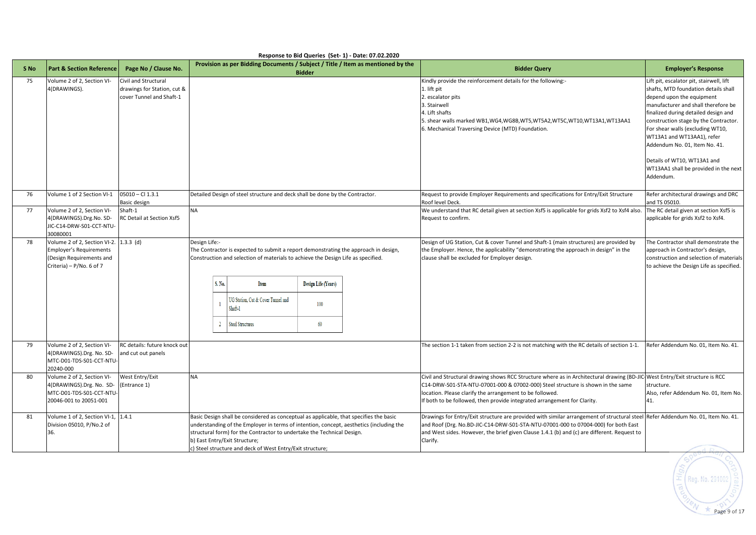|                 |                                                                                                                        |                                                                                 |               |                          |                                                                                                                                                                                                                                                                                                                                                           | Response to Bid Queries (Set- 1) - Date: 07.02.2020 |                                                                                 |                                                                                                                                                                                                                                                                                                                                                        |                                                                                                                                                                                                                                                                                                                                                                                                                               |
|-----------------|------------------------------------------------------------------------------------------------------------------------|---------------------------------------------------------------------------------|---------------|--------------------------|-----------------------------------------------------------------------------------------------------------------------------------------------------------------------------------------------------------------------------------------------------------------------------------------------------------------------------------------------------------|-----------------------------------------------------|---------------------------------------------------------------------------------|--------------------------------------------------------------------------------------------------------------------------------------------------------------------------------------------------------------------------------------------------------------------------------------------------------------------------------------------------------|-------------------------------------------------------------------------------------------------------------------------------------------------------------------------------------------------------------------------------------------------------------------------------------------------------------------------------------------------------------------------------------------------------------------------------|
| S <sub>No</sub> | <b>Part &amp; Section Reference</b>                                                                                    | Page No / Clause No.                                                            |               |                          |                                                                                                                                                                                                                                                                                                                                                           | <b>Bidder</b>                                       | Provision as per Bidding Documents / Subject / Title / Item as mentioned by the | <b>Bidder Query</b>                                                                                                                                                                                                                                                                                                                                    | <b>Employer's Response</b>                                                                                                                                                                                                                                                                                                                                                                                                    |
| 75              | Volume 2 of 2, Section VI-<br>4(DRAWINGS).                                                                             | Civil and Structural<br>drawings for Station, cut &<br>cover Tunnel and Shaft-1 |               |                          |                                                                                                                                                                                                                                                                                                                                                           |                                                     |                                                                                 | Kindly provide the reinforcement details for the following:-<br>1. lift pit<br>2. escalator pits<br>3. Stairwell<br>4. Lift shafts<br>5. shear walls marked WB1,WG4,WG8B,WT5,WT5A2,WT5C,WT10,WT13A1,WT13AA1<br>6. Mechanical Traversing Device (MTD) Foundation.                                                                                       | Lift pit, escalator pit, stairwell, lift<br>shafts, MTD foundation details shall<br>depend upon the equipment<br>manufacturer and shall therefore be<br>finalized during detailed design and<br>construction stage by the Contractor.<br>For shear walls (excluding WT10,<br>WT13A1 and WT13AA1), refer<br>Addendum No. 01, Item No. 41.<br>Details of WT10, WT13A1 and<br>WT13AA1 shall be provided in the next<br>Addendum. |
| 76              | Volume 1 of 2 Section VI-1                                                                                             | 05010 - Cl 1.3.1<br>Basic design                                                |               |                          | Detailed Design of steel structure and deck shall be done by the Contractor.                                                                                                                                                                                                                                                                              |                                                     |                                                                                 | Request to provide Employer Requirements and specifications for Entry/Exit Structure<br>Roof level Deck.                                                                                                                                                                                                                                               | Refer architectural drawings and DRC<br>and TS 05010.                                                                                                                                                                                                                                                                                                                                                                         |
| 77              | Volume 2 of 2, Section VI-<br>4(DRAWINGS).Drg.No. SD-<br>JIC-C14-DRW-S01-CCT-NTU-<br>30080001                          | Shaft-1<br>RC Detail at Section Xsf5                                            | <b>NA</b>     |                          |                                                                                                                                                                                                                                                                                                                                                           |                                                     |                                                                                 | We understand that RC detail given at section Xsf5 is applicable for grids Xsf2 to Xsf4 also.<br>Request to confirm.                                                                                                                                                                                                                                   | The RC detail given at section Xsf5 is<br>applicable for grids Xsf2 to Xsf4.                                                                                                                                                                                                                                                                                                                                                  |
| 78              | Volume 2 of 2, Section VI-2.<br><b>Employer's Requirements</b><br>(Design Requirements and<br>Criteria) - P/No. 6 of 7 | $1.3.3$ (d)                                                                     | Design Life:- | S. No.<br>$\overline{2}$ | The Contractor is expected to submit a report demonstrating the approach in design,<br>Construction and selection of materials to achieve the Design Life as specified.<br>Item<br>UG Station, Cut & Cover Tunnel and<br>Shaft-1<br>Steel Structures                                                                                                      | <b>Design Life (Years)</b><br>100<br>60             |                                                                                 | Design of UG Station, Cut & cover Tunnel and Shaft-1 (main structures) are provided by<br>the Employer. Hence, the applicability "demonstrating the approach in design" in the<br>clause shall be excluded for Employer design.                                                                                                                        | The Contractor shall demonstrate the<br>approach in Contractor's design,<br>construction and selection of materials<br>to achieve the Design Life as specified.                                                                                                                                                                                                                                                               |
| 79              | Volume 2 of 2, Section VI-<br>4(DRAWINGS).Drg. No. SD-<br>MTC-D01-TDS-S01-CCT-NTU-<br>20240-000                        | RC details: future knock out<br>and cut out panels                              |               |                          |                                                                                                                                                                                                                                                                                                                                                           |                                                     |                                                                                 | The section 1-1 taken from section 2-2 is not matching with the RC details of section 1-1.                                                                                                                                                                                                                                                             | Refer Addendum No. 01, Item No. 41.                                                                                                                                                                                                                                                                                                                                                                                           |
| 80              | Volume 2 of 2, Section VI-<br>4(DRAWINGS).Drg. No. SD-<br>MTC-D01-TDS-S01-CCT-NTU-<br>20046-001 to 20051-001           | West Entry/Exit<br>(Entrance 1)                                                 | <b>NA</b>     |                          |                                                                                                                                                                                                                                                                                                                                                           |                                                     |                                                                                 | Civil and Structural drawing shows RCC Structure where as in Architectural drawing (BD-JIC West Entry/Exit structure is RCC<br>C14-DRW-S01-STA-NTU-07001-000 & 07002-000) Steel structure is shown in the same<br>location. Please clarify the arrangement to be followed.<br>If both to be followed, then provide integrated arrangement for Clarity. | structure.<br>Also, refer Addendum No. 01, Item No.<br>41.                                                                                                                                                                                                                                                                                                                                                                    |
| 81              | Volume 1 of 2, Section VI-1,<br>Division 05010, P/No.2 of<br>36.                                                       | 1.4.1                                                                           |               |                          | Basic Design shall be considered as conceptual as applicable, that specifies the basic<br>understanding of the Employer in terms of intention, concept, aesthetics (including the<br>structural form) for the Contractor to undertake the Technical Design.<br>b) East Entry/Exit Structure;<br>c) Steel structure and deck of West Entry/Exit structure; |                                                     |                                                                                 | Drawings for Entry/Exit structure are provided with similar arrangement of structural steel Refer Addendum No. 01, Item No. 41.<br>and Roof (Drg. No.BD-JIC-C14-DRW-S01-STA-NTU-07001-000 to 07004-000) for both East<br>and West sides. However, the brief given Clause 1.4.1 (b) and (c) are different. Request to<br>Clarify.                       |                                                                                                                                                                                                                                                                                                                                                                                                                               |

 $\left(\frac{5}{\pm}\right)$  Reg. No. 291002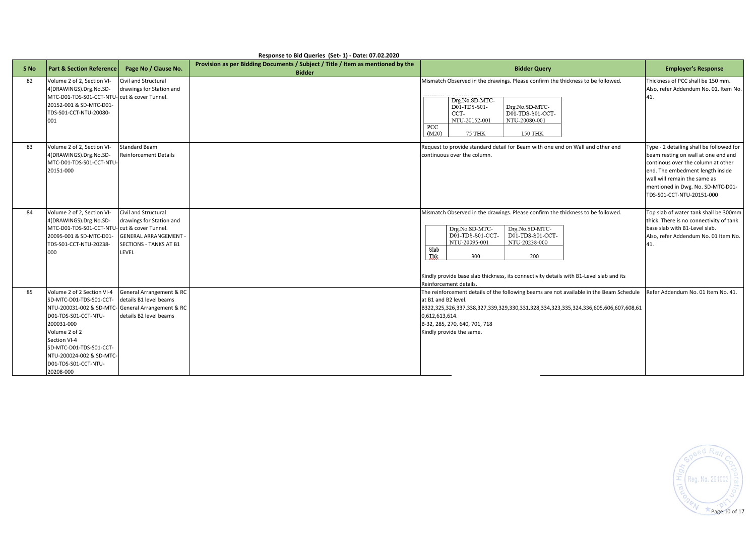| Response to Bid Queries (Set- 1) - Date: 07.02.2020 |                                                                        |                                                    |                                                                                 |                                                                                                                |                                                                                  |  |  |  |  |
|-----------------------------------------------------|------------------------------------------------------------------------|----------------------------------------------------|---------------------------------------------------------------------------------|----------------------------------------------------------------------------------------------------------------|----------------------------------------------------------------------------------|--|--|--|--|
| S <sub>No</sub>                                     | <b>Part &amp; Section Reference</b>                                    | Page No / Clause No.                               | Provision as per Bidding Documents / Subject / Title / Item as mentioned by the | <b>Bidder Query</b>                                                                                            | <b>Employer's Response</b>                                                       |  |  |  |  |
|                                                     |                                                                        |                                                    | <b>Bidder</b>                                                                   |                                                                                                                |                                                                                  |  |  |  |  |
| 82                                                  | Volume 2 of 2, Section VI-                                             | Civil and Structural<br>drawings for Station and   |                                                                                 | Mismatch Observed in the drawings. Please confirm the thickness to be followed.                                | Thickness of PCC shall be 150 mm.<br>Also, refer Addendum No. 01, Item No.       |  |  |  |  |
|                                                     | 4(DRAWINGS).Drg.No.SD-<br>MTC-D01-TDS-S01-CCT-NTU- cut & cover Tunnel. |                                                    |                                                                                 |                                                                                                                |                                                                                  |  |  |  |  |
|                                                     | 20152-001 & SD-MTC-D01-                                                |                                                    |                                                                                 | Drg.No.SD-MTC-                                                                                                 | 41.                                                                              |  |  |  |  |
|                                                     | TDS-S01-CCT-NTU-20080-                                                 |                                                    |                                                                                 | D01-TDS-S01-<br>Drg.No.SD-MTC-<br>D01-TDS-S01-CCT-<br>CCT-                                                     |                                                                                  |  |  |  |  |
|                                                     | 001                                                                    |                                                    |                                                                                 | NTU-20152-001<br>NTU-20080-001                                                                                 |                                                                                  |  |  |  |  |
|                                                     |                                                                        |                                                    |                                                                                 | PCC                                                                                                            |                                                                                  |  |  |  |  |
|                                                     |                                                                        |                                                    |                                                                                 | (M20)<br>75 THK<br>150 THK                                                                                     |                                                                                  |  |  |  |  |
| 83                                                  | Volume 2 of 2, Section VI-                                             | <b>Standard Beam</b>                               |                                                                                 | Request to provide standard detail for Beam with one end on Wall and other end                                 | Type - 2 detailing shall be followed for                                         |  |  |  |  |
|                                                     | 4(DRAWINGS).Drg.No.SD-                                                 | <b>Reinforcement Details</b>                       |                                                                                 | continuous over the column.                                                                                    | beam resting on wall at one end and                                              |  |  |  |  |
|                                                     | MTC-D01-TDS-S01-CCT-NTU-                                               |                                                    |                                                                                 |                                                                                                                | continous over the column at other                                               |  |  |  |  |
|                                                     | 20151-000                                                              |                                                    |                                                                                 |                                                                                                                | end. The embedment length inside                                                 |  |  |  |  |
|                                                     |                                                                        |                                                    |                                                                                 |                                                                                                                | wall will remain the same as                                                     |  |  |  |  |
|                                                     |                                                                        |                                                    |                                                                                 |                                                                                                                | mentioned in Dwg. No. SD-MTC-D01-                                                |  |  |  |  |
|                                                     |                                                                        |                                                    |                                                                                 |                                                                                                                | TDS-S01-CCT-NTU-20151-000                                                        |  |  |  |  |
|                                                     |                                                                        |                                                    |                                                                                 |                                                                                                                |                                                                                  |  |  |  |  |
| 84                                                  | Volume 2 of 2, Section VI-<br>4(DRAWINGS).Drg.No.SD-                   | Civil and Structural<br>drawings for Station and   |                                                                                 | Mismatch Observed in the drawings. Please confirm the thickness to be followed.                                | Top slab of water tank shall be 300mm<br>thick. There is no connectivity of tank |  |  |  |  |
|                                                     | MTC-D01-TDS-S01-CCT-NTU- cut & cover Tunnel.                           |                                                    |                                                                                 | Drg.No.SD-MTC-<br>Drg.No.SD-MTC-                                                                               | base slab with B1-Level slab.                                                    |  |  |  |  |
|                                                     | 20095-001 & SD-MTC-D01-                                                | <b>GENERAL ARRANGEMENT -</b>                       |                                                                                 | D01-TDS-S01-CCT-<br>D01-TDS-S01-CCT-                                                                           | Also, refer Addendum No. 01 Item No.                                             |  |  |  |  |
|                                                     | TDS-S01-CCT-NTU-20238-                                                 | <b>SECTIONS - TANKS AT B1</b>                      |                                                                                 | NTU-20095-001<br>NTU-20238-000                                                                                 | 41.                                                                              |  |  |  |  |
|                                                     | 000                                                                    | LEVEL                                              |                                                                                 | Slab                                                                                                           |                                                                                  |  |  |  |  |
|                                                     |                                                                        |                                                    |                                                                                 | Thk.<br>300<br>200                                                                                             |                                                                                  |  |  |  |  |
|                                                     |                                                                        |                                                    |                                                                                 |                                                                                                                |                                                                                  |  |  |  |  |
|                                                     |                                                                        |                                                    |                                                                                 | Kindly provide base slab thickness, its connectivity details with B1-Level slab and its                        |                                                                                  |  |  |  |  |
|                                                     | Volume 2 of 2 Section VI-4                                             |                                                    |                                                                                 | Reinforcement details.                                                                                         |                                                                                  |  |  |  |  |
| 85                                                  | SD-MTC-D01-TDS-S01-CCT-                                                | General Arrangement & RC<br>details B1 level beams |                                                                                 | The reinforcement details of the following beams are not available in the Beam Schedule<br>at B1 and B2 level. | Refer Addendum No. 01 Item No. 41.                                               |  |  |  |  |
|                                                     | NTU-200031-002 & SD-MTC-General Arrangement & RC                       |                                                    |                                                                                 | 8322,325,326,337,338,327,339,329,330,331,328,334,323,335,324,336,605,606,607,608,61                            |                                                                                  |  |  |  |  |
|                                                     | D01-TDS-S01-CCT-NTU-                                                   | details B2 level beams                             |                                                                                 | 0,612,613,614.                                                                                                 |                                                                                  |  |  |  |  |
|                                                     | 200031-000                                                             |                                                    |                                                                                 | B-32, 285, 270, 640, 701, 718                                                                                  |                                                                                  |  |  |  |  |
|                                                     | Volume 2 of 2                                                          |                                                    |                                                                                 | Kindly provide the same.                                                                                       |                                                                                  |  |  |  |  |
|                                                     | Section VI-4                                                           |                                                    |                                                                                 |                                                                                                                |                                                                                  |  |  |  |  |
|                                                     | SD-MTC-D01-TDS-S01-CCT-                                                |                                                    |                                                                                 |                                                                                                                |                                                                                  |  |  |  |  |
|                                                     | NTU-200024-002 & SD-MTC-                                               |                                                    |                                                                                 |                                                                                                                |                                                                                  |  |  |  |  |
|                                                     | D01-TDS-S01-CCT-NTU-                                                   |                                                    |                                                                                 |                                                                                                                |                                                                                  |  |  |  |  |
|                                                     | 20208-000                                                              |                                                    |                                                                                 |                                                                                                                |                                                                                  |  |  |  |  |

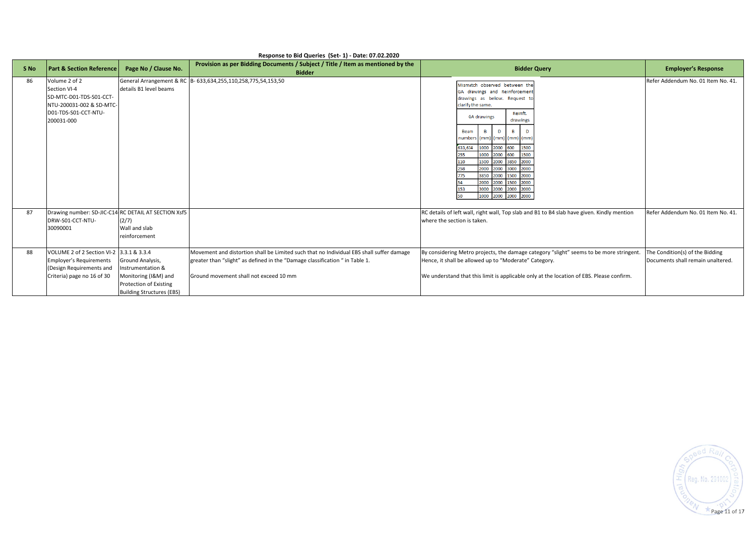| S <sub>No</sub> | <b>Part &amp; Section Reference</b>                                                                                                  | Page No / Clause No.                                                                                                        | Provision as per Bidding Documents / Subject / Title / Item as mentioned by the                                                                                                                                    | <b>Bidder Query</b>                                                                                                                                                                                                                                                                                                                                                                                                                    | <b>Employer's Response</b>                                           |
|-----------------|--------------------------------------------------------------------------------------------------------------------------------------|-----------------------------------------------------------------------------------------------------------------------------|--------------------------------------------------------------------------------------------------------------------------------------------------------------------------------------------------------------------|----------------------------------------------------------------------------------------------------------------------------------------------------------------------------------------------------------------------------------------------------------------------------------------------------------------------------------------------------------------------------------------------------------------------------------------|----------------------------------------------------------------------|
| 86              | Volume 2 of 2<br>Section VI-4<br>SD-MTC-D01-TDS-S01-CCT-<br>NTU-200031-002 & SD-MTC-<br>D01-TDS-S01-CCT-NTU-<br>200031-000           | details B1 level beams                                                                                                      | <b>Bidder</b><br>General Arrangement & RC B- 633,634,255,110,258,775,54,153,50                                                                                                                                     | Mismatch observed between the<br>GA drawings and Reinforcement<br>drawings as below. Request to<br>clarify the same.<br>Reinft.<br><b>GA drawings</b><br>drawings<br><b>Beam</b><br>numbers (mm) (mm) (mm) (mm<br>1000 2000 600<br>1500<br>633,634<br>1000 2000<br>600<br>1500<br>1500 2000 3850 2000<br>2000 2000 3000 2000<br>258<br>3850 2000 1500 2000<br>2000 2000 1500 2000<br>3000 2000 2000 2000<br>153<br>1000 2000 2000 2000 | Refer Addendum No. 01 Item No. 41.                                   |
| 87              | Drawing number: SD-JIC-C14 RC DETAIL AT SECTION Xsf5<br>DRW-S01-CCT-NTU-<br>30090001                                                 | (2/7)<br>Wall and slab<br>reinforcement                                                                                     |                                                                                                                                                                                                                    | RC details of left wall, right wall, Top slab and B1 to B4 slab have given. Kindly mention<br>where the section is taken.                                                                                                                                                                                                                                                                                                              | Refer Addendum No. 01 Item No. 41.                                   |
| 88              | VOLUME 2 of 2 Section VI-2 3.3.1 & 3.3.4<br><b>Employer's Requirements</b><br>(Design Requirements and<br>Criteria) page no 16 of 30 | Ground Analysis,<br>Instrumentation &<br>Monitoring (I&M) and<br>Protection of Existing<br><b>Building Structures (EBS)</b> | Movement and distortion shall be Limited such that no Individual EBS shall suffer damage<br>greater than "slight" as defined in the "Damage classification " in Table 1.<br>Ground movement shall not exceed 10 mm | By considering Metro projects, the damage category "slight" seems to be more stringent.<br>Hence, it shall be allowed up to "Moderate" Category.<br>We understand that this limit is applicable only at the location of EBS. Please confirm.                                                                                                                                                                                           | The Condition(s) of the Bidding<br>Documents shall remain unaltered. |

## **Response to Bid Queries (Set- 1) - Date: 07.02.2020**

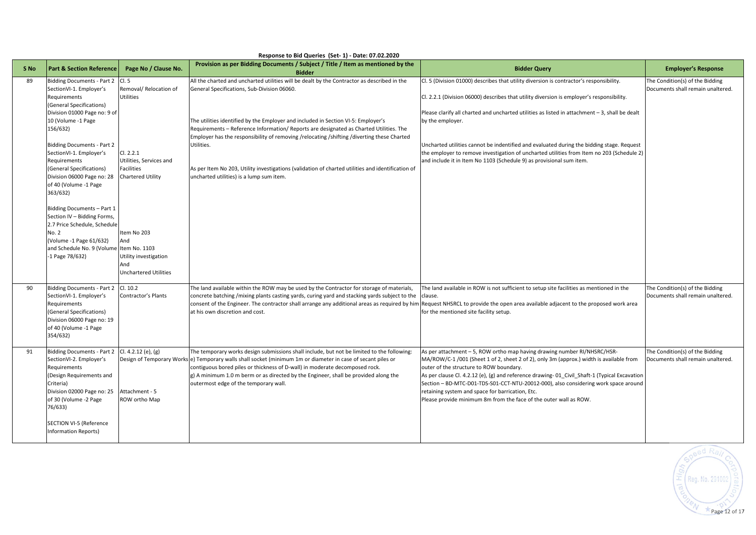| S <sub>No</sub> | <b>Part &amp; Section Reference</b>                                                                                                                                                                                                                                                                                                                                                                                                                                                                                                        | Page No / Clause No.                                                                                                                                                                                               | Provision as per Bidding Documents / Subject / Title / Item as mentioned by the<br><b>Bidder</b>                                                                                                                                                                                                                                                                                                                                                                                                                                                                                       | <b>Bidder Query</b>                                                                                                                                                                                                                                                                                                                                                                                                                                                                                                                                                          | <b>Employer's Response</b>                                           |  |  |
|-----------------|--------------------------------------------------------------------------------------------------------------------------------------------------------------------------------------------------------------------------------------------------------------------------------------------------------------------------------------------------------------------------------------------------------------------------------------------------------------------------------------------------------------------------------------------|--------------------------------------------------------------------------------------------------------------------------------------------------------------------------------------------------------------------|----------------------------------------------------------------------------------------------------------------------------------------------------------------------------------------------------------------------------------------------------------------------------------------------------------------------------------------------------------------------------------------------------------------------------------------------------------------------------------------------------------------------------------------------------------------------------------------|------------------------------------------------------------------------------------------------------------------------------------------------------------------------------------------------------------------------------------------------------------------------------------------------------------------------------------------------------------------------------------------------------------------------------------------------------------------------------------------------------------------------------------------------------------------------------|----------------------------------------------------------------------|--|--|
| 89              | <b>Bidding Documents - Part 2</b><br>SectionVI-1. Employer's<br>Requirements<br>(General Specifications)<br>Division 01000 Page no: 9 of<br>10 (Volume -1 Page<br>156/632)<br><b>Bidding Documents - Part 2</b><br>SectionVI-1. Employer's<br>Requirements<br>(General Specifications)<br>Division 06000 Page no: 28<br>of 40 (Volume -1 Page<br>363/632)<br>Bidding Documents - Part 1<br>Section IV - Bidding Forms,<br>2.7 Price Schedule, Schedule<br>No. 2<br>Volume -1 Page 61/632)<br>and Schedule No. 9 (Volume<br>-1 Page 78/632) | Cl.5<br>Removal/ Relocation of<br><b>Utilities</b><br>Cl. 2.2.1<br>Utilities, Services and<br><b>Facilities</b><br><b>Chartered Utility</b><br>Item No 203<br>And<br>Item No. 1103<br>Utility investigation<br>And | All the charted and uncharted utilities will be dealt by the Contractor as described in the<br>General Specifications, Sub-Division 06060.<br>The utilities identified by the Employer and included in Section VI-5: Employer's<br>Requirements - Reference Information/ Reports are designated as Charted Utilities. The<br>Employer has the responsibility of removing /relocating /shifting /diverting these Charted<br>Utilities.<br>As per Item No 203, Utility investigations (validation of charted utilities and identification of<br>uncharted utilities) is a lump sum item. | Cl. 5 (Division 01000) describes that utility diversion is contractor's responsibility.<br>Cl. 2.2.1 (Division 06000) describes that utility diversion is employer's responsibility.<br>Please clarify all charted and uncharted utilities as listed in attachment - 3, shall be dealt<br>by the employer.<br>Uncharted utilities cannot be indentified and evaluated during the bidding stage. Request<br>the employer to remove investigation of uncharted utilities from Item no 203 (Schedule 2)<br>and include it in Item No 1103 (Schedule 9) as provisional sum item. | The Condition(s) of the Bidding<br>Documents shall remain unaltered. |  |  |
| 90              | <b>Bidding Documents - Part 2</b><br>SectionVI-1. Employer's<br>Requirements<br>(General Specifications)<br>Division 06000 Page no: 19<br>of 40 (Volume -1 Page<br>354/632)                                                                                                                                                                                                                                                                                                                                                                | <b>Unchartered Utilities</b><br>Cl. 10.2<br>Contractor's Plants                                                                                                                                                    | The land available within the ROW may be used by the Contractor for storage of materials,<br>concrete batching /mixing plants casting yards, curing yard and stacking yards subject to the<br>consent of the Engineer. The contractor shall arrange any additional areas as required by him<br>at his own discretion and cost.                                                                                                                                                                                                                                                         | The land available in ROW is not sufficient to setup site facilities as mentioned in the<br>clause.<br>Request NHSRCL to provide the open area available adjacent to the proposed work area<br>for the mentioned site facility setup.                                                                                                                                                                                                                                                                                                                                        | The Condition(s) of the Bidding<br>Documents shall remain unaltered. |  |  |
| 91              | <b>Bidding Documents - Part 2</b><br>SectionVI-2. Employer's<br>Requirements<br>Design Requirements and<br>Criteria)<br>Division 02000 Page no: 25<br>of 30 (Volume -2 Page<br>76/633)<br>SECTION VI-5 (Reference<br><b>Information Reports)</b>                                                                                                                                                                                                                                                                                           | Cl. 4.2.12 (e), (g)<br>Attachment - 5<br>ROW ortho Map                                                                                                                                                             | The temporary works design submissions shall include, but not be limited to the following:<br>Design of Temporary Works e) Temporary walls shall socket (minimum 1m or diameter in case of secant piles or<br>contiguous bored piles or thickness of D-wall) in moderate decomposed rock.<br>g) A minimum 1.0 m berm or as directed by the Engineer, shall be provided along the<br>outermost edge of the temporary wall.                                                                                                                                                              | As per attachment - 5, ROW ortho map having drawing number RI/NHSRC/HSR-<br>MA/ROW/C-1 /001 (Sheet 1 of 2, sheet 2 of 2), only 3m (approx.) width is available from<br>outer of the structure to ROW boundary.<br>As per clause Cl. 4.2.12 (e), (g) and reference drawing-01 Civil Shaft-1 (Typical Excavation<br>Section - BD-MTC-D01-TDS-S01-CCT-NTU-20012-000), also considering work space around<br>retaining system and space for barrication, Etc.<br>Please provide minimum 8m from the face of the outer wall as ROW.                                               | The Condition(s) of the Bidding<br>Documents shall remain unaltered. |  |  |



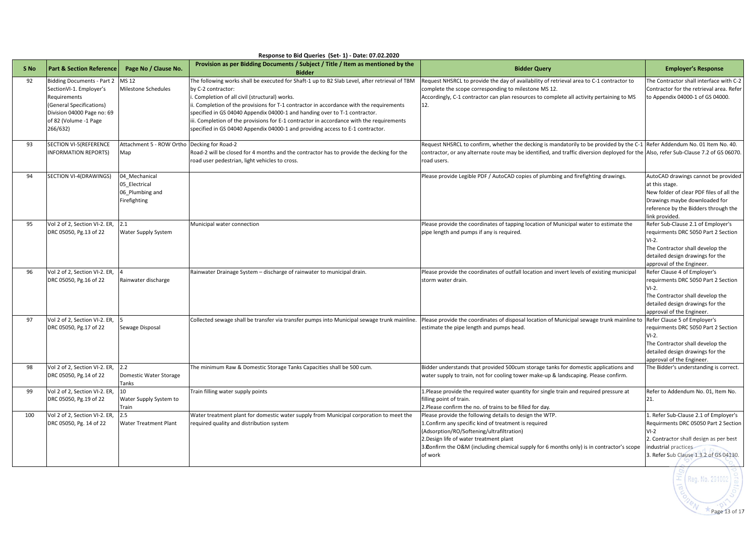| Response to Bid Queries (Set-1) - Date: 07.02.2020 |                                                                                                                                                                             |                                                                   |                                                                                                                                                                                                                                                                                                                                                                                                                                                                                                                              |                                                                                                                                                                                                                                                                                                                  |                                                                                                                                                                                                     |  |  |
|----------------------------------------------------|-----------------------------------------------------------------------------------------------------------------------------------------------------------------------------|-------------------------------------------------------------------|------------------------------------------------------------------------------------------------------------------------------------------------------------------------------------------------------------------------------------------------------------------------------------------------------------------------------------------------------------------------------------------------------------------------------------------------------------------------------------------------------------------------------|------------------------------------------------------------------------------------------------------------------------------------------------------------------------------------------------------------------------------------------------------------------------------------------------------------------|-----------------------------------------------------------------------------------------------------------------------------------------------------------------------------------------------------|--|--|
| S <sub>No</sub>                                    | <b>Part &amp; Section Reference</b>                                                                                                                                         | Page No / Clause No.                                              | Provision as per Bidding Documents / Subject / Title / Item as mentioned by the<br><b>Bidder</b>                                                                                                                                                                                                                                                                                                                                                                                                                             | <b>Bidder Query</b>                                                                                                                                                                                                                                                                                              | <b>Employer's Response</b>                                                                                                                                                                          |  |  |
| 92                                                 | <b>Bidding Documents - Part 2</b><br>SectionVI-1. Employer's<br>Requirements<br>(General Specifications)<br>Division 04000 Page no: 69<br>of 82 (Volume -1 Page<br>266/632) | <b>MS 12</b><br>Milestone Schedules                               | The following works shall be executed for Shaft-1 up to B2 Slab Level, after retrieval of TBM<br>by C-2 contractor:<br>i. Completion of all civil (structural) works.<br>ii. Completion of the provisions for T-1 contractor in accordance with the requirements<br>specified in GS 04040 Appendix 04000-1 and handing over to T-1 contractor.<br>iii. Completion of the provisions for E-1 contractor in accordance with the requirements<br>specified in GS 04040 Appendix 04000-1 and providing access to E-1 contractor. | Request NHSRCL to provide the day of availability of retrieval area to C-1 contractor to<br>complete the scope corresponding to milestone MS 12.<br>Accordingly, C-1 contractor can plan resources to complete all activity pertaining to MS<br>12.                                                              |                                                                                                                                                                                                     |  |  |
| 93                                                 | <b>SECTION VI-5(REFERENCE</b><br>NFORMATION REPORTS)                                                                                                                        | Attachment 5 - ROW Ortho Decking for Road-2<br>Map                | Road-2 will be closed for 4 months and the contractor has to provide the decking for the<br>road user pedestrian, light vehicles to cross.                                                                                                                                                                                                                                                                                                                                                                                   | Request NHSRCL to confirm, whether the decking is mandatorily to be provided by the C-1<br>contractor, or any alternate route may be identified, and traffic diversion deployed for the Also, refer Sub-Clause 7.2 of GS 06070.<br>road users.                                                                   | Refer Addendum No. 01 Item No. 40.                                                                                                                                                                  |  |  |
| 94                                                 | SECTION VI-4(DRAWINGS)                                                                                                                                                      | 04 Mechanical<br>05 Electrical<br>06 Plumbing and<br>Firefighting |                                                                                                                                                                                                                                                                                                                                                                                                                                                                                                                              | Please provide Legible PDF / AutoCAD copies of plumbing and firefighting drawings.                                                                                                                                                                                                                               | AutoCAD drawings cannot be provided<br>at this stage.<br>New folder of clear PDF files of all the<br>Drawings maybe downloaded for<br>reference by the Bidders through the<br>ink provided.         |  |  |
| 95                                                 | Vol 2 of 2, Section VI-2. ER,<br>DRC 05050, Pg.13 of 22                                                                                                                     | 2.1<br>Water Supply System                                        | Municipal water connection                                                                                                                                                                                                                                                                                                                                                                                                                                                                                                   | Please provide the coordinates of tapping location of Municipal water to estimate the<br>pipe length and pumps if any is required.                                                                                                                                                                               | Refer Sub-Clause 2.1 of Employer's<br>requirments DRC 5050 Part 2 Section<br>$VI-2.$<br>The Contractor shall develop the<br>detailed design drawings for the<br>approval of the Engineer.           |  |  |
| 96                                                 | Vol 2 of 2, Section VI-2. ER,<br>DRC 05050, Pg.16 of 22                                                                                                                     | Rainwater discharge                                               | Rainwater Drainage System - discharge of rainwater to municipal drain.                                                                                                                                                                                                                                                                                                                                                                                                                                                       | Please provide the coordinates of outfall location and invert levels of existing municipal<br>storm water drain.                                                                                                                                                                                                 | Refer Clause 4 of Employer's<br>requirments DRC 5050 Part 2 Section<br>$VI-2.$<br>The Contractor shall develop the<br>detailed design drawings for the<br>approval of the Engineer.                 |  |  |
| 97                                                 | Vol 2 of 2, Section VI-2. ER,<br>DRC 05050, Pg.17 of 22                                                                                                                     | Sewage Disposal                                                   | Collected sewage shall be transfer via transfer pumps into Municipal sewage trunk mainline.                                                                                                                                                                                                                                                                                                                                                                                                                                  | Please provide the coordinates of disposal location of Municipal sewage trunk mainline to<br>estimate the pipe length and pumps head.                                                                                                                                                                            | Refer Clause 5 of Employer's<br>requirments DRC 5050 Part 2 Section<br>$VI-2.$<br>The Contractor shall develop the<br>detailed design drawings for the<br>approval of the Engineer.                 |  |  |
| 98                                                 | Vol 2 of 2, Section VI-2. ER,<br>DRC 05050, Pg.14 of 22                                                                                                                     | 2.2<br>Domestic Water Storage<br>Tanks                            | The minimum Raw & Domestic Storage Tanks Capacities shall be 500 cum.                                                                                                                                                                                                                                                                                                                                                                                                                                                        | Bidder understands that provided 500cum storage tanks for domestic applications and<br>water supply to train, not for cooling tower make-up & landscaping. Please confirm.                                                                                                                                       | The Bidder's understanding is correct.                                                                                                                                                              |  |  |
| 99                                                 | Vol 2 of 2, Section VI-2. ER,<br>DRC 05050, Pg.19 of 22                                                                                                                     | 10<br>Water Supply System to<br>Train                             | Train filling water supply points                                                                                                                                                                                                                                                                                                                                                                                                                                                                                            | 1. Please provide the required water quantity for single train and required pressure at<br>filling point of train.<br>2.Please confirm the no. of trains to be filled for day.                                                                                                                                   | Refer to Addendum No. 01, Item No.<br>21.                                                                                                                                                           |  |  |
| 100                                                | Vol 2 of 2, Section VI-2. ER,<br>DRC 05050, Pg. 14 of 22                                                                                                                    | 2.5<br>Water Treatment Plant                                      | Water treatment plant for domestic water supply from Municipal corporation to meet the<br>required quality and distribution system                                                                                                                                                                                                                                                                                                                                                                                           | Please provide the following details to design the WTP.<br>1. Confirm any specific kind of treatment is required<br>(Adsorption/RO/Softening/ultrafiltration)<br>2. Design life of water treatment plant<br>3. Donfirm the O&M (including chemical supply for 6 months only) is in contractor's scope<br>of work | 1. Refer Sub-Clause 2.1 of Employer's<br>Requirments DRC 05050 Part 2 Section<br>$VI-2$<br>2. Contractor shall design as per best<br>industrial practices<br>3. Refer Sub Clause 1.3.2 of GS 04130. |  |  |
|                                                    |                                                                                                                                                                             |                                                                   |                                                                                                                                                                                                                                                                                                                                                                                                                                                                                                                              |                                                                                                                                                                                                                                                                                                                  | $\overline{\pm}$ (Reg. No. 291002                                                                                                                                                                   |  |  |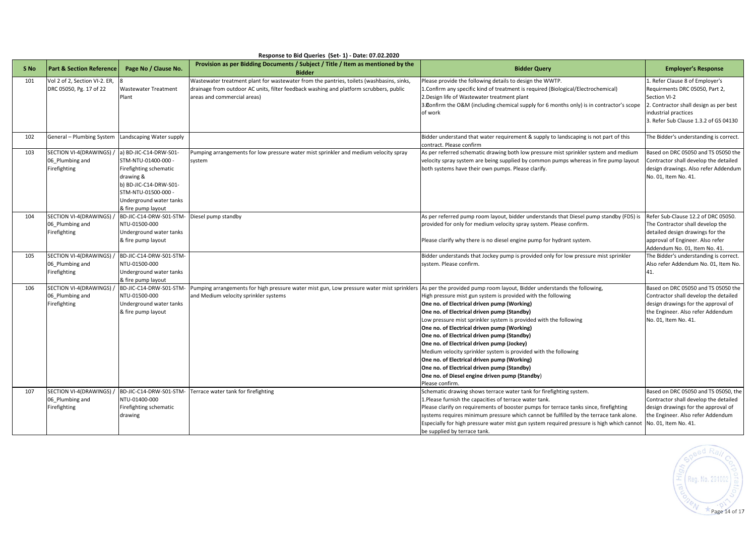|      |                                     |                                               | nesponse to bid gueries (Set-1) - bate, 07.02.2020                                                                    |                                                                                                                                    |                                                |
|------|-------------------------------------|-----------------------------------------------|-----------------------------------------------------------------------------------------------------------------------|------------------------------------------------------------------------------------------------------------------------------------|------------------------------------------------|
| S No | <b>Part &amp; Section Reference</b> | Page No / Clause No.                          | Provision as per Bidding Documents / Subject / Title / Item as mentioned by the<br><b>Bidder</b>                      | <b>Bidder Query</b>                                                                                                                | <b>Employer's Response</b>                     |
| 101  | Vol 2 of 2, Section VI-2. ER,       |                                               | Wastewater treatment plant for wastewater from the pantries, toilets (washbasins, sinks,                              | Please provide the following details to design the WWTP.                                                                           | L. Refer Clause 8 of Employer's                |
|      | DRC 05050, Pg. 17 of 22             | <b>Wastewater Treatment</b><br>Plant          | drainage from outdoor AC units, filter feedback washing and platform scrubbers, public<br>areas and commercial areas) | 1. Confirm any specific kind of treatment is required (Biological/Electrochemical)<br>2. Design life of Wastewater treatment plant | Requirments DRC 05050, Part 2,<br>Section VI-2 |
|      |                                     |                                               |                                                                                                                       | 3. Donfirm the O&M (including chemical supply for 6 months only) is in contractor's scope                                          | 2. Contractor shall design as per best         |
|      |                                     |                                               |                                                                                                                       | of work                                                                                                                            | industrial practices                           |
|      |                                     |                                               |                                                                                                                       |                                                                                                                                    | 3. Refer Sub Clause 1.3.2 of GS 04130          |
| 102  | General - Plumbing System           | Landscaping Water supply                      |                                                                                                                       | Bidder understand that water requirement & supply to landscaping is not part of this                                               | The Bidder's understanding is correct.         |
| 103  | SECTION VI-4(DRAWINGS)              | a) BD-JIC-C14-DRW-S01-                        | Pumping arrangements for low pressure water mist sprinkler and medium velocity spray                                  | contract. Please confirm<br>As per referred schematic drawing both low pressure mist sprinkler system and medium                   | Based on DRC 05050 and TS 05050 the            |
|      | 06 Plumbing and                     | STM-NTU-01400-000 -                           | system                                                                                                                | velocity spray system are being supplied by common pumps whereas in fire pump layout                                               | Contractor shall develop the detailed          |
|      | Firefighting                        | Firefighting schematic                        |                                                                                                                       | both systems have their own pumps. Please clarify.                                                                                 | design drawings. Also refer Addendum           |
|      |                                     | drawing &                                     |                                                                                                                       |                                                                                                                                    | No. 01, Item No. 41.                           |
|      |                                     | b) BD-JIC-C14-DRW-S01-                        |                                                                                                                       |                                                                                                                                    |                                                |
|      |                                     | STM-NTU-01500-000 -                           |                                                                                                                       |                                                                                                                                    |                                                |
|      |                                     | Underground water tanks<br>& fire pump layout |                                                                                                                       |                                                                                                                                    |                                                |
| 104  | SECTION VI-4(DRAWINGS)              | BD-JIC-C14-DRW-S01-STM- Diesel pump standby   |                                                                                                                       | As per referred pump room layout, bidder understands that Diesel pump standby (FDS) is                                             | Refer Sub-Clause 12.2 of DRC 05050.            |
|      | 06_Plumbing and                     | NTU-01500-000                                 |                                                                                                                       | provided for only for medium velocity spray system. Please confirm.                                                                | The Contractor shall develop the               |
|      | Firefighting                        | Underground water tanks                       |                                                                                                                       |                                                                                                                                    | detailed design drawings for the               |
|      |                                     | & fire pump layout                            |                                                                                                                       | Please clarify why there is no diesel engine pump for hydrant system.                                                              | approval of Engineer. Also refer               |
|      |                                     |                                               |                                                                                                                       |                                                                                                                                    | Addendum No. 01, Item No. 41.                  |
| 105  | SECTION VI-4(DRAWINGS)              | BD-JIC-C14-DRW-S01-STM-                       |                                                                                                                       | Bidder understands that Jockey pump is provided only for low pressure mist sprinkler                                               | The Bidder's understanding is correct.         |
|      | 06 Plumbing and<br>Firefighting     | NTU-01500-000<br>Underground water tanks      |                                                                                                                       | system. Please confirm.                                                                                                            | Also refer Addendum No. 01, Item No.<br>41.    |
|      |                                     | & fire pump layout                            |                                                                                                                       |                                                                                                                                    |                                                |
| 106  | SECTION VI-4(DRAWINGS)              | BD-JIC-C14-DRW-S01-STM-                       | Pumping arrangements for high pressure water mist gun, Low pressure water mist sprinklers                             | As per the provided pump room layout, Bidder understands the following,                                                            | Based on DRC 05050 and TS 05050 the            |
|      | 06 Plumbing and                     | NTU-01500-000                                 | and Medium velocity sprinkler systems                                                                                 | High pressure mist gun system is provided with the following                                                                       | Contractor shall develop the detailed          |
|      | Firefighting                        | Underground water tanks                       |                                                                                                                       | One no. of Electrical driven pump (Working)                                                                                        | design drawings for the approval of            |
|      |                                     | & fire pump layout                            |                                                                                                                       | One no. of Electrical driven pump (Standby)                                                                                        | the Engineer. Also refer Addendum              |
|      |                                     |                                               |                                                                                                                       | Low pressure mist sprinkler system is provided with the following<br>One no. of Electrical driven pump (Working)                   | No. 01, Item No. 41.                           |
|      |                                     |                                               |                                                                                                                       | One no. of Electrical driven pump (Standby)                                                                                        |                                                |
|      |                                     |                                               |                                                                                                                       | One no. of Electrical driven pump (Jockey)                                                                                         |                                                |
|      |                                     |                                               |                                                                                                                       | Medium velocity sprinkler system is provided with the following                                                                    |                                                |
|      |                                     |                                               |                                                                                                                       | One no. of Electrical driven pump (Working)                                                                                        |                                                |
|      |                                     |                                               |                                                                                                                       | One no. of Electrical driven pump (Standby)                                                                                        |                                                |
|      |                                     |                                               |                                                                                                                       | One no. of Diesel engine driven pump (Standby)                                                                                     |                                                |
| 107  | SECTION VI-4(DRAWINGS)              | BD-JIC-C14-DRW-S01-STM-                       | Terrace water tank for firefighting                                                                                   | Please confirm.<br>Schematic drawing shows terrace water tank for firefighting system.                                             | Based on DRC 05050 and TS 05050, the           |
|      | 06 Plumbing and                     | NTU-01400-000                                 |                                                                                                                       | 1.Please furnish the capacities of terrace water tank.                                                                             | Contractor shall develop the detailed          |
|      | Firefighting                        | Firefighting schematic                        |                                                                                                                       | Please clarify on requirements of booster pumps for terrace tanks since, firefighting                                              | design drawings for the approval of            |
|      |                                     | drawing                                       |                                                                                                                       | systems requires minimum pressure which cannot be fulfilled by the terrace tank alone.                                             | the Engineer. Also refer Addendum              |
|      |                                     |                                               |                                                                                                                       | Especially for high pressure water mist gun system required pressure is high which cannot                                          | No. 01, Item No. 41.                           |
|      |                                     |                                               |                                                                                                                       | be supplied by terrace tank.                                                                                                       |                                                |



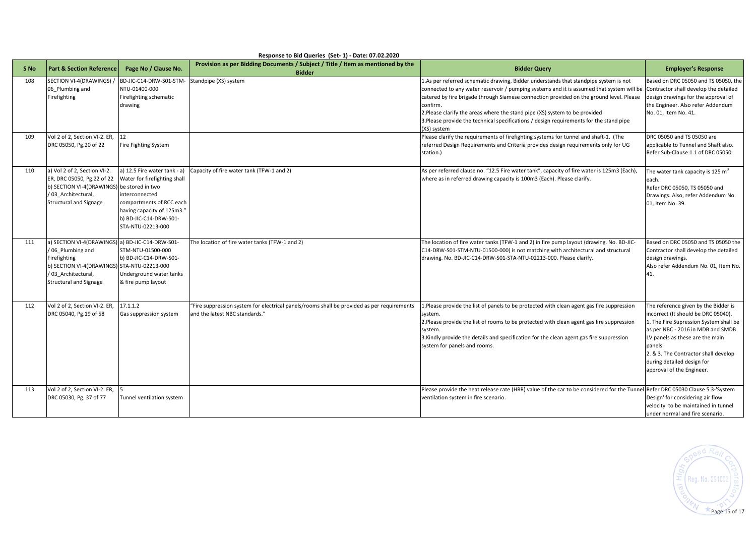|                 | Response to Bid Queries (Set-1) - Date: 07.02.2020                                                                                                                                          |                                                                                                                                                                                         |                                                                                                                              |                                                                                                                                                                                                                                                                                                                                                                                                                                                                                                                        |                                                                                                                                                                                                                                                                                                             |  |  |  |
|-----------------|---------------------------------------------------------------------------------------------------------------------------------------------------------------------------------------------|-----------------------------------------------------------------------------------------------------------------------------------------------------------------------------------------|------------------------------------------------------------------------------------------------------------------------------|------------------------------------------------------------------------------------------------------------------------------------------------------------------------------------------------------------------------------------------------------------------------------------------------------------------------------------------------------------------------------------------------------------------------------------------------------------------------------------------------------------------------|-------------------------------------------------------------------------------------------------------------------------------------------------------------------------------------------------------------------------------------------------------------------------------------------------------------|--|--|--|
| S <sub>No</sub> | <b>Part &amp; Section Reference</b>                                                                                                                                                         | Page No / Clause No.                                                                                                                                                                    | Provision as per Bidding Documents / Subject / Title / Item as mentioned by the<br><b>Bidder</b>                             | <b>Bidder Query</b>                                                                                                                                                                                                                                                                                                                                                                                                                                                                                                    | <b>Employer's Response</b>                                                                                                                                                                                                                                                                                  |  |  |  |
| 108             | SECTION VI-4(DRAWINGS)<br>06 Plumbing and<br>Firefighting                                                                                                                                   | BD-JIC-C14-DRW-S01-STM<br>NTU-01400-000<br>Firefighting schematic<br>drawing                                                                                                            | Standpipe (XS) system                                                                                                        | 1.As per referred schematic drawing, Bidder understands that standpipe system is not<br>connected to any water reservoir / pumping systems and it is assumed that system will be Contractor shall develop the detailed<br>catered by fire brigade through Siamese connection provided on the ground level. Please<br>confirm.<br>2. Please clarify the areas where the stand pipe (XS) system to be provided<br>3. Please provide the technical specifications / design requirements for the stand pipe<br>(XS) system | Based on DRC 05050 and TS 05050, the<br>design drawings for the approval of<br>the Engineer. Also refer Addendum<br>No. 01, Item No. 41.                                                                                                                                                                    |  |  |  |
| 109             | Vol 2 of 2, Section VI-2. ER,<br>DRC 05050, Pg.20 of 22                                                                                                                                     | 12<br>Fire Fighting System                                                                                                                                                              |                                                                                                                              | Please clarify the requirements of firefighting systems for tunnel and shaft-1. (The<br>referred Design Requirements and Criteria provides design requirements only for UG<br>station.)                                                                                                                                                                                                                                                                                                                                | DRC 05050 and TS 05050 are<br>applicable to Tunnel and Shaft also.<br>Refer Sub-Clause 1.1 of DRC 05050.                                                                                                                                                                                                    |  |  |  |
| 110             | a) Vol 2 of 2, Section VI-2.<br>ER, DRC 05050, Pg.22 of 22<br>b) SECTION VI-4(DRAWINGS) be stored in two<br>/03 Architectural,<br><b>Structural and Signage</b>                             | a) 12.5 Fire water tank - a)<br>Water for firefighting shall<br>interconnected<br>compartments of RCC each<br>having capacity of 125m3."<br>b) BD-JIC-C14-DRW-S01-<br>STA-NTU-02213-000 | Capacity of fire water tank (TFW-1 and 2)                                                                                    | As per referred clause no. "12.5 Fire water tank", capacity of fire water is 125m3 (Each),<br>where as in referred drawing capacity is 100m3 (Each). Please clarify.                                                                                                                                                                                                                                                                                                                                                   | The water tank capacity is 125 m <sup>3</sup><br>each.<br>Refer DRC 05050, TS 05050 and<br>Drawings. Also, refer Addendum No.<br>01, Item No. 39.                                                                                                                                                           |  |  |  |
| 111             | a) SECTION VI-4(DRAWINGS) a) BD-JIC-C14-DRW-S01-<br>/06 Plumbing and<br>Firefighting<br>b) SECTION VI-4(DRAWINGS) STA-NTU-02213-000<br>/ 03 Architectural,<br><b>Structural and Signage</b> | STM-NTU-01500-000<br>b) BD-JIC-C14-DRW-S01-<br>Underground water tanks<br>& fire pump layout                                                                                            | The location of fire water tanks (TFW-1 and 2)                                                                               | The location of fire water tanks (TFW-1 and 2) in fire pump layout (drawing. No. BD-JIC-<br>C14-DRW-S01-STM-NTU-01500-000) is not matching with architectural and structural<br>drawing. No. BD-JIC-C14-DRW-S01-STA-NTU-02213-000. Please clarify.                                                                                                                                                                                                                                                                     | Based on DRC 05050 and TS 05050 the<br>Contractor shall develop the detailed<br>design drawings.<br>Also refer Addendum No. 01, Item No.<br>41.                                                                                                                                                             |  |  |  |
| 112             | Vol 2 of 2, Section VI-2. ER,<br>DRC 05040, Pg.19 of 58                                                                                                                                     | 17.1.1.2<br>Gas suppression system                                                                                                                                                      | "Fire suppression system for electrical panels/rooms shall be provided as per requirements<br>and the latest NBC standards." | 1.Please provide the list of panels to be protected with clean agent gas fire suppression<br>system.<br>2. Please provide the list of rooms to be protected with clean agent gas fire suppression<br>system.<br>3. Kindly provide the details and specification for the clean agent gas fire suppression<br>system for panels and rooms.                                                                                                                                                                               | The reference given by the Bidder is<br>incorrect (It should be DRC 05040).<br>1. The Fire Supression System shall be<br>as per NBC - 2016 in MDB and SMDB<br>LV panels as these are the main<br>panels.<br>2. & 3. The Contractor shall develop<br>during detailed design for<br>approval of the Engineer. |  |  |  |
| 113             | Vol 2 of 2, Section VI-2. ER,<br>DRC 05030, Pg. 37 of 77                                                                                                                                    | Tunnel ventilation system                                                                                                                                                               |                                                                                                                              | Please provide the heat release rate (HRR) value of the car to be considered for the Tunnel Refer DRC 05030 Clause 5.3-'System<br>ventilation system in fire scenario.                                                                                                                                                                                                                                                                                                                                                 | Design' for considering air flow<br>velocity to be maintained in tunnel<br>under normal and fire scenario.                                                                                                                                                                                                  |  |  |  |

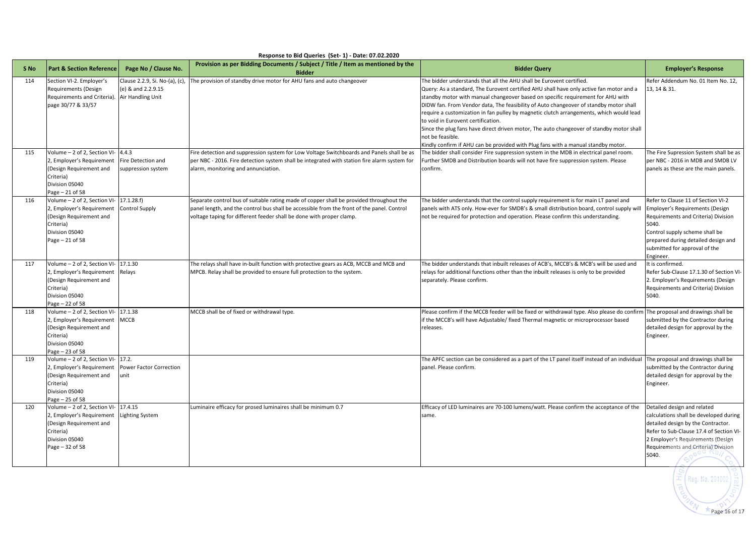|      |                                                                                                                                        |                                                                          | Response to bid Queries (Set- 1) - Date: 07.02.2020                                                                                                                                                                                                           |                                                                                                                                                                                                                                                                                                                                                                                                                                                                                                                                                                                                                                                                                   |                                                                                                                                                                                                                                              |
|------|----------------------------------------------------------------------------------------------------------------------------------------|--------------------------------------------------------------------------|---------------------------------------------------------------------------------------------------------------------------------------------------------------------------------------------------------------------------------------------------------------|-----------------------------------------------------------------------------------------------------------------------------------------------------------------------------------------------------------------------------------------------------------------------------------------------------------------------------------------------------------------------------------------------------------------------------------------------------------------------------------------------------------------------------------------------------------------------------------------------------------------------------------------------------------------------------------|----------------------------------------------------------------------------------------------------------------------------------------------------------------------------------------------------------------------------------------------|
| S No | <b>Part &amp; Section Reference</b>                                                                                                    | Page No / Clause No.                                                     | Provision as per Bidding Documents / Subject / Title / Item as mentioned by the<br><b>Bidder</b>                                                                                                                                                              | <b>Bidder Query</b>                                                                                                                                                                                                                                                                                                                                                                                                                                                                                                                                                                                                                                                               | <b>Employer's Response</b>                                                                                                                                                                                                                   |
| 114  | Section VI-2. Employer's<br>Requirements (Design<br>Requirements and Criteria).<br>page 30/77 & 33/57                                  | Clause 2.2.9, Si. No-(a), (c)<br>(e) & and 2.2.9.15<br>Air Handling Unit | The provision of standby drive motor for AHU fans and auto changeover                                                                                                                                                                                         | The bidder understands that all the AHU shall be Eurovent certified.<br>Query: As a standard, The Eurovent certified AHU shall have only active fan motor and a<br>standby motor with manual changeover based on specific requirement for AHU with<br>DIDW fan. From Vendor data, The feasibility of Auto changeover of standby motor shall<br>require a customization in fan pulley by magnetic clutch arrangements, which would lead<br>to void in Eurovent certification.<br>Since the plug fans have direct driven motor, The auto changeover of standby motor shall<br>not be feasible.<br>Kindly confirm if AHU can be provided with Plug fans with a manual standby motor. | Refer Addendum No. 01 Item No. 12,<br>13, 14 & 31.                                                                                                                                                                                           |
| 115  | Volume - 2 of 2, Section VI-<br>2, Employer's Requirement<br>(Design Requirement and<br>Criteria)<br>Division 05040<br>Page - 21 of 58 | 4.4.3<br>Fire Detection and<br>suppression system                        | Fire detection and suppression system for Low Voltage Switchboards and Panels shall be as<br>per NBC - 2016. Fire detection system shall be integrated with station fire alarm system for<br>alarm, monitoring and annunciation.                              | The bidder shall consider Fire suppression system in the MDB in electrical panel room.<br>Further SMDB and Distribution boards will not have fire suppression system. Please<br>confirm.                                                                                                                                                                                                                                                                                                                                                                                                                                                                                          | The Fire Supression System shall be as<br>per NBC - 2016 in MDB and SMDB LV<br>panels as these are the main panels.                                                                                                                          |
| 116  | Volume - 2 of 2, Section VI-<br>2, Employer's Requirement<br>(Design Requirement and<br>Criteria)<br>Division 05040<br>Page - 21 of 58 | 17.1.28.f)<br><b>Control Supply</b>                                      | Separate control bus of suitable rating made of copper shall be provided throughout the<br>panel length, and the control bus shall be accessible from the front of the panel. Control<br>voltage taping for different feeder shall be done with proper clamp. | The bidder understands that the control supply requirement is for main LT panel and<br>panels with ATS only. How-ever for SMDB's & small distribution board, control supply will<br>not be required for protection and operation. Please confirm this understanding.                                                                                                                                                                                                                                                                                                                                                                                                              | Refer to Clause 11 of Section VI-2<br>Employer's Requirements (Design<br>Requirements and Criteria) Division<br>5040.<br>Control supply scheme shall be<br>prepared during detailed design and<br>submitted for approval of the<br>Engineer. |
| 117  | Volume - 2 of 2, Section VI-<br>2, Employer's Requirement<br>Design Requirement and<br>Criteria)<br>Division 05040<br>Page - 22 of 58  | 17.1.30<br>Relays                                                        | The relays shall have in-built function with protective gears as ACB, MCCB and MCB and<br>MPCB. Relay shall be provided to ensure full protection to the system.                                                                                              | The bidder understands that inbuilt releases of ACB's, MCCB's & MCB's will be used and<br>relays for additional functions other than the inbuilt releases is only to be provided<br>separately. Please confirm.                                                                                                                                                                                                                                                                                                                                                                                                                                                                   | It is confirmed.<br>Refer Sub-Clause 17.1.30 of Section VI-<br>2. Employer's Requirements (Design<br>Requirements and Criteria) Division<br>5040.                                                                                            |
| 118  | Volume - 2 of 2, Section VI-<br>2, Employer's Requirement<br>(Design Requirement and<br>Criteria)<br>Division 05040<br>Page - 23 of 58 | 17.1.38<br><b>MCCB</b>                                                   | MCCB shall be of fixed or withdrawal type.                                                                                                                                                                                                                    | Please confirm if the MCCB feeder will be fixed or withdrawal type. Also please do confirm<br>if the MCCB's will have Adjustable/ fixed Thermal magnetic or microprocessor based<br>releases.                                                                                                                                                                                                                                                                                                                                                                                                                                                                                     | The proposal and drawings shall be<br>submitted by the Contractor during<br>detailed design for approval by the<br>Engineer.                                                                                                                 |
| 119  | Volume - 2 of 2, Section VI-<br>2, Employer's Requirement<br>(Design Requirement and<br>Criteria)<br>Division 05040<br>Page - 25 of 58 | 17.2.<br>Power Factor Correction<br>unit                                 |                                                                                                                                                                                                                                                               | The APFC section can be considered as a part of the LT panel itself instead of an individual<br>panel. Please confirm.                                                                                                                                                                                                                                                                                                                                                                                                                                                                                                                                                            | The proposal and drawings shall be<br>submitted by the Contractor during<br>detailed design for approval by the<br>Engineer.                                                                                                                 |
| 120  | Volume - 2 of 2, Section VI-<br>2, Employer's Requirement<br>(Design Requirement and<br>Criteria)<br>Division 05040<br>Page - 32 of 58 | 17.4.15<br><b>Lighting System</b>                                        | Luminaire efficacy for prosed luminaires shall be minimum 0.7                                                                                                                                                                                                 | Efficacy of LED luminaires are 70-100 lumens/watt. Please confirm the acceptance of the<br>same.                                                                                                                                                                                                                                                                                                                                                                                                                                                                                                                                                                                  | Detailed design and related<br>calculations shall be developed during<br>detailed design by the Contractor.<br>Refer to Sub-Clause 17.4 of Section VI-<br>2 Employer's Requirements (Design<br>Requirements and Criteria) Division<br>5040.  |
|      |                                                                                                                                        |                                                                          |                                                                                                                                                                                                                                                               |                                                                                                                                                                                                                                                                                                                                                                                                                                                                                                                                                                                                                                                                                   | $\equiv$ [ Reg. No. 291002                                                                                                                                                                                                                   |

## **Response to Bid Queries (Set- 1) - Date: 07.02.2020**

## Page  $16$  of 17